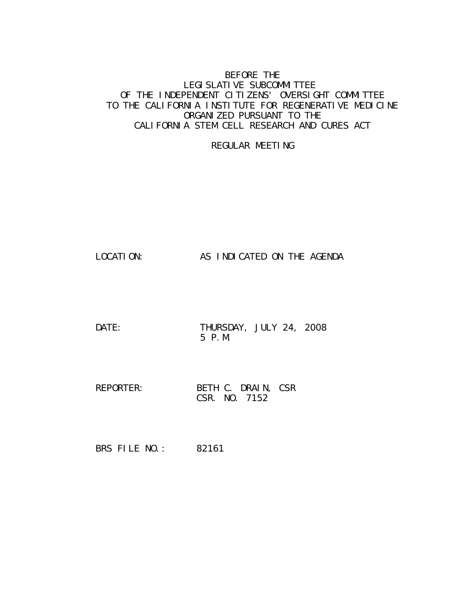### BEFORE THE LEGI SLATI VE SUBCOMMI TTEE OF THE INDEPENDENT CITIZENS' OVERSIGHT COMMITTEE TO THE CALIFORNIA INSTITUTE FOR REGENERATIVE MEDICINE ORGANIZED PURSUANT TO THE CALIFORNIA STEM CELL RESEARCH AND CURES ACT

#### REGULAR MEETING

LOCATION: AS INDICATED ON THE AGENDA

DATE: THURSDAY, JULY 24, 2008 5 P.M.

REPORTER: BETH C. DRAIN, CSR CSR. NO. 7152

BRS FILE NO.: 82161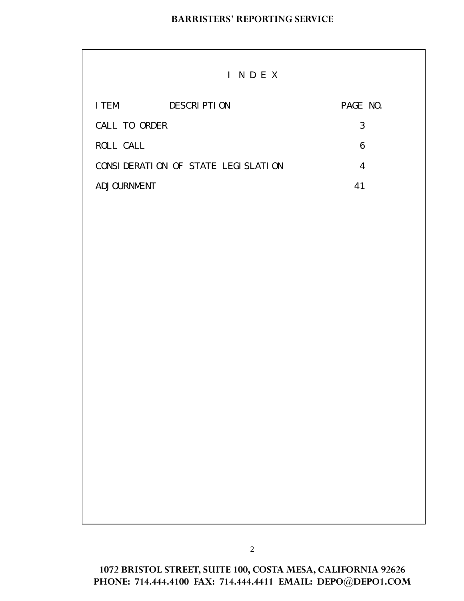|               | INDEX                              |          |
|---------------|------------------------------------|----------|
| I TEM         | <b>DESCRIPTION</b>                 | PAGE NO. |
| CALL TO ORDER |                                    | 3        |
| ROLL CALL     |                                    | 6        |
|               | CONSIDERATION OF STATE LEGISLATION | 4        |
| ADJOURNMENT   |                                    | 41       |

**1072 BRISTOL STREET, SUITE 100, COSTA MESA, CALIFORNIA 92626 PHONE: 714.444.4100 FAX: 714.444.4411 EMAIL: DEPO@DEPO1.COM**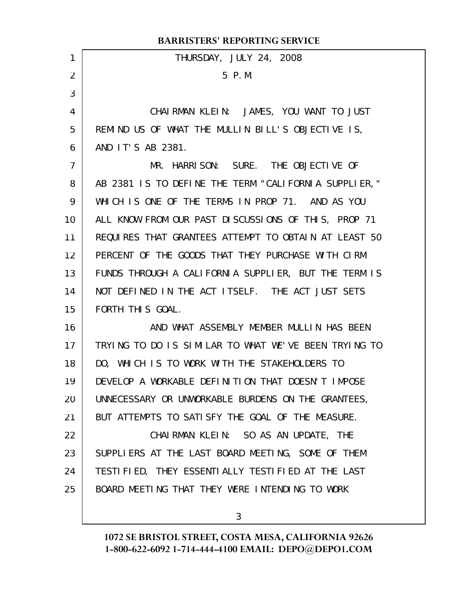|                 | <b>BARRISTERS' REPORTING SERVICE</b>                 |
|-----------------|------------------------------------------------------|
| 1               | THURSDAY, JULY 24, 2008                              |
| 2               | 5 P.M.                                               |
| 3               |                                                      |
| 4               | CHAIRMAN KLEIN: JAMES, YOU WANT TO JUST              |
| 5               | REMIND US OF WHAT THE MULLIN BILL'S OBJECTIVE IS,    |
| 6               | AND IT'S AB 2381.                                    |
| $\overline{7}$  | MR. HARRISON: SURE. THE OBJECTIVE OF                 |
| 8               | AB 2381 IS TO DEFINE THE TERM "CALIFORNIA SUPPLIER," |
| 9               | WHICH IS ONE OF THE TERMS IN PROP 71. AND AS YOU     |
| 10              | ALL KNOW FROM OUR PAST DISCUSSIONS OF THIS, PROP 71  |
| 11              | REQUIRES THAT GRANTEES ATTEMPT TO OBTAIN AT LEAST 50 |
| 12 <sup>2</sup> | PERCENT OF THE GOODS THAT THEY PURCHASE WITH CIRM    |
| 13              | FUNDS THROUGH A CALIFORNIA SUPPLIER, BUT THE TERM IS |
| 14              | NOT DEFINED IN THE ACT ITSELF. THE ACT JUST SETS     |
| 15              | FORTH THIS GOAL.                                     |
| 16              | AND WHAT ASSEMBLY MEMBER MULLIN HAS BEEN             |
| 17              | TRYING TO DO IS SIMILAR TO WHAT WE'VE BEEN TRYING TO |
| 18              | DO, WHICH IS TO WORK WITH THE STAKEHOLDERS TO        |
| 19              | DEVELOP A WORKABLE DEFINITION THAT DOESN'T IMPOSE    |
| 20              | UNNECESSARY OR UNWORKABLE BURDENS ON THE GRANTEES,   |
| 21              | BUT ATTEMPTS TO SATISFY THE GOAL OF THE MEASURE.     |
| 22              | CHAIRMAN KLEIN: SO AS AN UPDATE, THE                 |
| 23              | SUPPLIERS AT THE LAST BOARD MEETING, SOME OF THEM    |
| 24              | TESTIFIED, THEY ESSENTIALLY TESTIFIED AT THE LAST    |
| 25              | BOARD MEETING THAT THEY WERE INTENDING TO WORK       |
|                 |                                                      |

3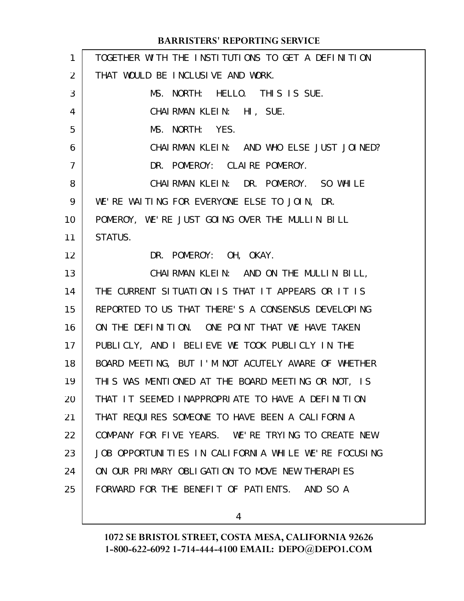| $\mathbf{1}$ | TOGETHER WITH THE INSTITUTIONS TO GET A DEFINITION   |
|--------------|------------------------------------------------------|
| 2            | THAT WOULD BE INCLUSIVE AND WORK.                    |
| 3            | MS. NORTH: HELLO. THIS IS SUE.                       |
| 4            | CHAIRMAN KLEIN: HI, SUE.                             |
| 5            | MS. NORTH: YES.                                      |
| 6            | CHAI RMAN KLEIN: AND WHO ELSE JUST JOINED?           |
| 7            | DR. POMEROY: CLAIRE POMEROY.                         |
| 8            | CHAIRMAN KLEIN: DR. POMEROY. SO WHILE                |
| 9            | WE'RE WAITING FOR EVERYONE ELSE TO JOIN, DR.         |
| 10           | POMEROY, WE'RE JUST GOING OVER THE MULLIN BILL       |
| 11           | STATUS.                                              |
| 12           | DR. POMEROY: OH, OKAY.                               |
| 13           | CHAIRMAN KLEIN: AND ON THE MULLIN BILL,              |
| 14           | THE CURRENT SITUATION IS THAT IT APPEARS OR IT IS    |
| 15           | REPORTED TO US THAT THERE'S A CONSENSUS DEVELOPING   |
| 16           | ON THE DEFINITION. ONE POINT THAT WE HAVE TAKEN      |
| 17           | PUBLICLY, AND I BELIEVE WE TOOK PUBLICLY IN THE      |
| 18           | BOARD MEETING, BUT I'M NOT ACUTELY AWARE OF WHETHER  |
| 19           | THIS WAS MENTIONED AT THE BOARD MEETING OR NOT, IS   |
| 20           | THAT IT SEEMED INAPPROPRIATE TO HAVE A DEFINITION    |
| 21           | THAT REQUIRES SOMEONE TO HAVE BEEN A CALIFORNIA      |
| 22           | COMPANY FOR FIVE YEARS. WE'RE TRYING TO CREATE NEW   |
| 23           | JOB OPPORTUNITIES IN CALIFORNIA WHILE WE'RE FOCUSING |
| 24           | ON OUR PRIMARY OBLIGATION TO MOVE NEW THERAPIES      |
| 25           | FORWARD FOR THE BENEFIT OF PATIENTS. AND SO A        |
|              |                                                      |

4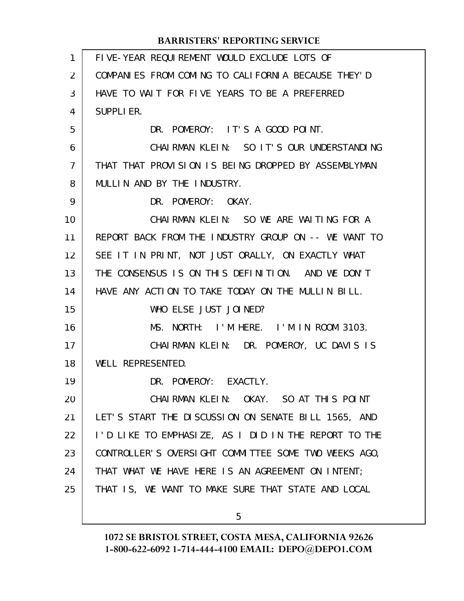| $\mathbf{1}$   | FIVE-YEAR REQUIREMENT WOULD EXCLUDE LOTS OF          |
|----------------|------------------------------------------------------|
| $\overline{2}$ | COMPANIES FROM COMING TO CALIFORNIA BECAUSE THEY'D   |
| 3              | HAVE TO WAIT FOR FIVE YEARS TO BE A PREFERRED        |
| 4              | <b>SUPPLIER.</b>                                     |
| 5              | DR. POMEROY: IT'S A GOOD POINT.                      |
| 6              | CHAIRMAN KLEIN: SO IT'S OUR UNDERSTANDING            |
| 7              | THAT THAT PROVISION IS BEING DROPPED BY ASSEMBLYMAN  |
| 8              | MULLIN AND BY THE INDUSTRY.                          |
| 9              | DR. POMEROY: OKAY.                                   |
| 10             | CHAIRMAN KLEIN: SO WE ARE WAITING FOR A              |
| 11             | REPORT BACK FROM THE INDUSTRY GROUP ON -- WE WANT TO |
| 12             | SEE IT IN PRINT, NOT JUST ORALLY, ON EXACTLY WHAT    |
| 13             | THE CONSENSUS IS ON THIS DEFINITION. AND WE DON'T    |
| 14             | HAVE ANY ACTION TO TAKE TODAY ON THE MULLIN BILL.    |
| 15             | WHO ELSE JUST JOINED?                                |
| 16             | MS. NORTH: I'M HERE. I'M IN ROOM 3103.               |
| 17             | CHAIRMAN KLEIN: DR. POMEROY, UC DAVIS IS             |
| 18             | WELL REPRESENTED.                                    |
| 19             | DR. POMEROY: EXACTLY.                                |
| 20             | CHAIRMAN KLEIN: OKAY. SO AT THIS POINT               |
| 21             | LET'S START THE DISCUSSION ON SENATE BILL 1565, AND  |
| 22             | I'D LIKE TO EMPHASIZE, AS I DID IN THE REPORT TO THE |
| 23             | CONTROLLER'S OVERSIGHT COMMITTEE SOME TWO WEEKS AGO, |
| 24             | THAT WHAT WE HAVE HERE IS AN AGREEMENT ON INTENT;    |
| 25             | THAT IS, WE WANT TO MAKE SURE THAT STATE AND LOCAL   |
|                |                                                      |

5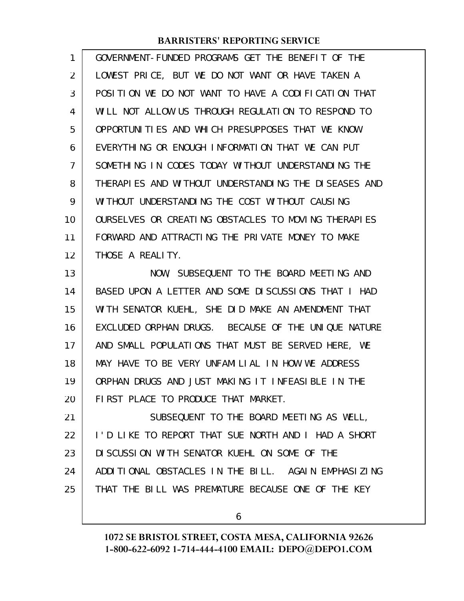| 1  | GOVERNMENT-FUNDED PROGRAMS GET THE BENEFIT OF THE    |
|----|------------------------------------------------------|
| 2  | LOWEST PRICE, BUT WE DO NOT WANT OR HAVE TAKEN A     |
| 3  | POSITION WE DO NOT WANT TO HAVE A CODIFICATION THAT  |
| 4  | WILL NOT ALLOW US THROUGH REGULATION TO RESPOND TO   |
| 5  | OPPORTUNITIES AND WHICH PRESUPPOSES THAT WE KNOW     |
| 6  | EVERYTHING OR ENOUGH INFORMATION THAT WE CAN PUT     |
| 7  | SOMETHING IN CODES TODAY WITHOUT UNDERSTANDING THE   |
| 8  | THERAPIES AND WITHOUT UNDERSTANDING THE DISEASES AND |
| 9  | WITHOUT UNDERSTANDING THE COST WITHOUT CAUSING       |
| 10 | OURSELVES OR CREATING OBSTACLES TO MOVING THERAPIES  |
| 11 | FORWARD AND ATTRACTING THE PRIVATE MONEY TO MAKE     |
| 12 | THOSE A REALITY.                                     |
| 13 | NOW, SUBSEQUENT TO THE BOARD MEETING AND             |
| 14 | BASED UPON A LETTER AND SOME DISCUSSIONS THAT I HAD  |
| 15 | WITH SENATOR KUEHL, SHE DID MAKE AN AMENDMENT THAT   |
| 16 | EXCLUDED ORPHAN DRUGS. BECAUSE OF THE UNIQUE NATURE  |
| 17 | AND SMALL POPULATIONS THAT MUST BE SERVED HERE, WE   |
| 18 | MAY HAVE TO BE VERY UNFAMILIAL IN HOW WE ADDRESS     |
| 19 | ORPHAN DRUGS AND JUST MAKING IT INFEASIBLE IN THE    |
| 20 | FIRST PLACE TO PRODUCE THAT MARKET.                  |
| 21 | SUBSEQUENT TO THE BOARD MEETING AS WELL,             |
| 22 | I'D LIKE TO REPORT THAT SUE NORTH AND I HAD A SHORT  |
| 23 | DI SCUSSION WITH SENATOR KUEHL ON SOME OF THE        |
| 24 | ADDITIONAL OBSTACLES IN THE BILL. AGAIN EMPHASIZING  |
| 25 | THAT THE BILL WAS PREMATURE BECAUSE ONE OF THE KEY   |
|    |                                                      |

6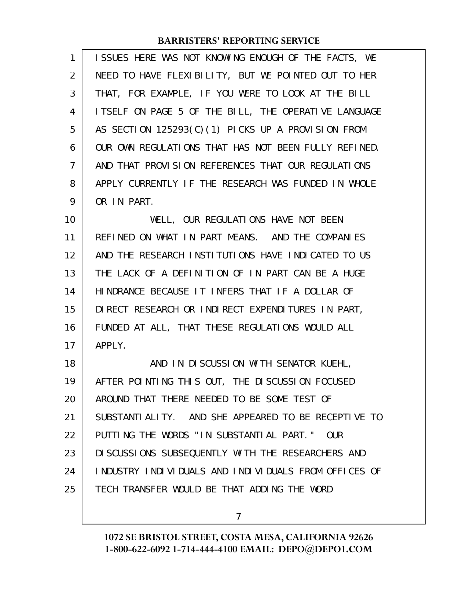| 1              | ISSUES HERE WAS NOT KNOWING ENOUGH OF THE FACTS, WE    |
|----------------|--------------------------------------------------------|
| 2              | NEED TO HAVE FLEXIBILITY, BUT WE POINTED OUT TO HER    |
| 3              | THAT, FOR EXAMPLE, IF YOU WERE TO LOOK AT THE BILL     |
| 4              | I TSELF ON PAGE 5 OF THE BILL, THE OPERATIVE LANGUAGE  |
| 5              | AS SECTION 125293(C)(1) PICKS UP A PROVISION FROM      |
| 6              | OUR OWN REGULATIONS THAT HAS NOT BEEN FULLY REFINED.   |
| $\overline{7}$ | AND THAT PROVISION REFERENCES THAT OUR REGULATIONS     |
| 8              | APPLY CURRENTLY IF THE RESEARCH WAS FUNDED IN WHOLE    |
| 9              | OR IN PART.                                            |
| 10             | WELL, OUR REGULATIONS HAVE NOT BEEN                    |
| 11             | REFINED ON WHAT IN PART MEANS. AND THE COMPANIES       |
| 12             | AND THE RESEARCH INSTITUTIONS HAVE INDICATED TO US     |
| 13             | THE LACK OF A DEFINITION OF IN PART CAN BE A HUGE      |
| 14             | HINDRANCE BECAUSE IT INFERS THAT IF A DOLLAR OF        |
| 15             | DIRECT RESEARCH OR INDIRECT EXPENDITURES IN PART,      |
| 16             | FUNDED AT ALL, THAT THESE REGULATIONS WOULD ALL        |
| 17             | APPLY.                                                 |
| 18             | AND IN DISCUSSION WITH SENATOR KUEHL,                  |
| 19             | AFTER POINTING THIS OUT, THE DISCUSSION FOCUSED        |
| 20             | AROUND THAT THERE NEEDED TO BE SOME TEST OF            |
| 21             | SUBSTANTIALITY. AND SHE APPEARED TO BE RECEPTIVE TO    |
| 22             | PUTTING THE WORDS "IN SUBSTANTIAL PART."<br><b>OUR</b> |
| 23             | DI SCUSSIONS SUBSEQUENTLY WITH THE RESEARCHERS AND     |
| 24             | INDUSTRY INDIVIDUALS AND INDIVIDUALS FROM OFFICES OF   |

TECH TRANSFER WOULD BE THAT ADDING THE WORD

25

7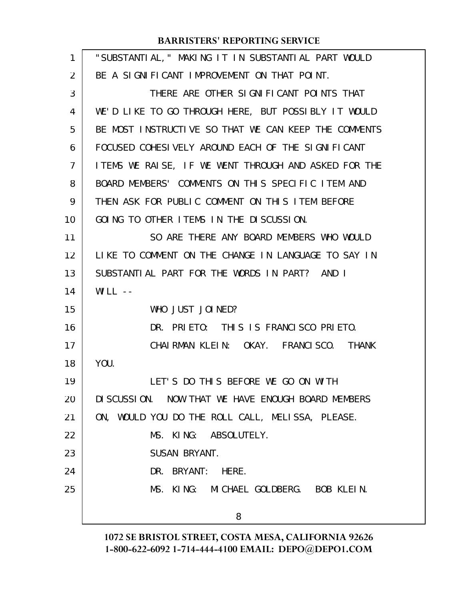| 1  | "SUBSTANTIAL, " MAKING IT IN SUBSTANTIAL PART WOULD   |
|----|-------------------------------------------------------|
| 2  | BE A SIGNIFICANT IMPROVEMENT ON THAT POINT.           |
| 3  | THERE ARE OTHER SIGNIFICANT POINTS THAT               |
| 4  | WE'D LIKE TO GO THROUGH HERE, BUT POSSIBLY IT WOULD   |
| 5  | BE MOST INSTRUCTIVE SO THAT WE CAN KEEP THE COMMENTS  |
| 6  | FOCUSED COHESIVELY AROUND EACH OF THE SIGNIFICANT     |
| 7  | I TEMS WE RAISE, IF WE WENT THROUGH AND ASKED FOR THE |
| 8  | BOARD MEMBERS' COMMENTS ON THIS SPECIFIC ITEM AND     |
| 9  | THEN ASK FOR PUBLIC COMMENT ON THIS ITEM BEFORE       |
| 10 | GOING TO OTHER ITEMS IN THE DISCUSSION.               |
| 11 | SO ARE THERE ANY BOARD MEMBERS WHO WOULD              |
| 12 | LIKE TO COMMENT ON THE CHANGE IN LANGUAGE TO SAY IN   |
| 13 | SUBSTANTIAL PART FOR THE WORDS IN PART? AND I         |
| 14 | WILL $-$                                              |
| 15 | WHO JUST JOINED?                                      |
| 16 | DR. PRIETO: THIS IS FRANCISCO PRIETO.                 |
| 17 | CHAIRMAN KLEIN: OKAY. FRANCISCO. THANK                |
| 18 | YOU.                                                  |
| 19 | LET'S DO THIS BEFORE WE GO ON WITH                    |
| 20 | DI SCUSSION. NOW THAT WE HAVE ENOUGH BOARD MEMBERS    |
| 21 | ON, WOULD YOU DO THE ROLL CALL, MELISSA, PLEASE.      |
| 22 | MS. KING: ABSOLUTELY.                                 |
| 23 | SUSAN BRYANT.                                         |
| 24 | DR. BRYANT: HERE.                                     |
| 25 | MS. KING: MICHAEL GOLDBERG. BOB KLEIN.                |
|    | 8                                                     |
|    |                                                       |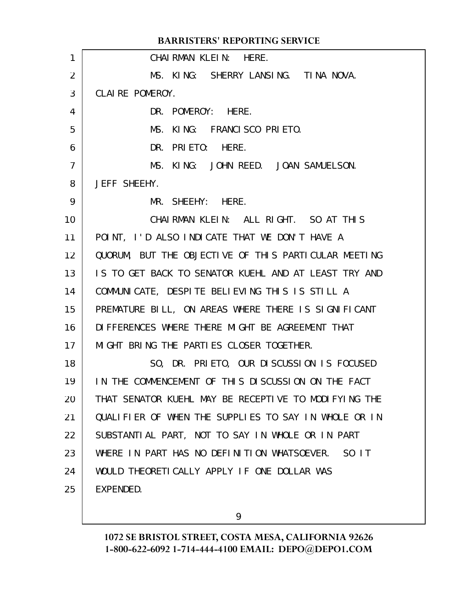CHAIRMAN KLEIN: HERE. MS. KING: SHERRY LANSING. TINA NOVA. CLAIRE POMEROY. DR. POMEROY: HERE. MS. KING: FRANCISCO PRIETO. DR. PRIETO: HERE. MS. KING: JOHN REED. JOAN SAMUELSON. JEFF SHEEHY. MR. SHEEHY: HERE. CHAIRMAN KLEIN: ALL RIGHT. SO AT THIS POINT, I'D ALSO INDICATE THAT WE DON'T HAVE A QUORUM, BUT THE OBJECTIVE OF THIS PARTICULAR MEETING IS TO GET BACK TO SENATOR KUEHL AND AT LEAST TRY AND COMMUNICATE, DESPITE BELIEVING THIS IS STILL A PREMATURE BILL, ON AREAS WHERE THERE IS SIGNIFICANT DIFFERENCES WHERE THERE MIGHT BE AGREEMENT THAT MIGHT BRING THE PARTIES CLOSER TOGETHER. SO, DR. PRIETO, OUR DISCUSSION IS FOCUSED IN THE COMMENCEMENT OF THIS DISCUSSION ON THE FACT THAT SENATOR KUEHL MAY BE RECEPTIVE TO MODIFYING THE QUALIFIER OF WHEN THE SUPPLIES TO SAY IN WHOLE OR IN SUBSTANTIAL PART, NOT TO SAY IN WHOLE OR IN PART WHERE IN PART HAS NO DEFINITION WHATSOEVER. SO IT WOULD THEORETICALLY APPLY IF ONE DOLLAR WAS EXPENDED. **BARRISTERS' REPORTING SERVICE** 1 2 3 4 5 6 7 8 9 10 11 12 13 14 15 16 17 18 19 20 21 22 23 24 25

9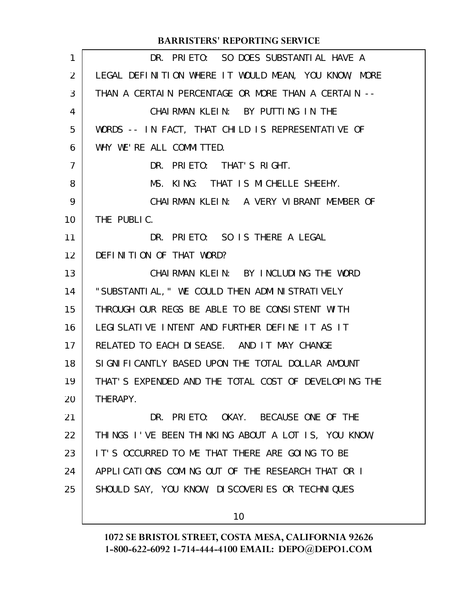| 1  | DR. PRIETO: SO DOES SUBSTANTIAL HAVE A               |
|----|------------------------------------------------------|
| 2  | LEGAL DEFINITION WHERE IT WOULD MEAN, YOU KNOW, MORE |
| 3  | THAN A CERTAIN PERCENTAGE OR MORE THAN A CERTAIN --  |
| 4  | CHAIRMAN KLEIN: BY PUTTING IN THE                    |
| 5  | WORDS -- IN FACT, THAT CHILD IS REPRESENTATIVE OF    |
| 6  | WHY WE'RE ALL COMMITTED.                             |
| 7  | DR. PRIETO: THAT'S RIGHT.                            |
| 8  | KING: THAT IS MICHELLE SHEEHY.<br>MS.                |
| 9  | CHAIRMAN KLEIN: A VERY VIBRANT MEMBER OF             |
| 10 | THE PUBLIC.                                          |
| 11 | DR. PRIETO: SO IS THERE A LEGAL                      |
| 12 | DEFINITION OF THAT WORD?                             |
| 13 | CHAIRMAN KLEIN: BY INCLUDING THE WORD                |
| 14 | "SUBSTANTIAL, " WE COULD THEN ADMINISTRATIVELY       |
| 15 | THROUGH OUR REGS BE ABLE TO BE CONSISTENT WITH       |
| 16 | LEGISLATIVE INTENT AND FURTHER DEFINE IT AS IT       |
| 17 | RELATED TO EACH DISEASE. AND IT MAY CHANGE           |
| 18 | SIGNIFICANTLY BASED UPON THE TOTAL DOLLAR AMOUNT     |
| 19 | THAT'S EXPENDED AND THE TOTAL COST OF DEVELOPING THE |
| 20 | THERAPY.                                             |
| 21 | DR. PRIETO: OKAY. BECAUSE ONE OF THE                 |
| 22 | THINGS I'VE BEEN THINKING ABOUT A LOT IS, YOU KNOW,  |
| 23 | IT'S OCCURRED TO ME THAT THERE ARE GOING TO BE       |
| 24 | APPLICATIONS COMING OUT OF THE RESEARCH THAT OR I    |
| 25 | SHOULD SAY, YOU KNOW, DISCOVERIES OR TECHNIQUES      |
|    | 10                                                   |
|    |                                                      |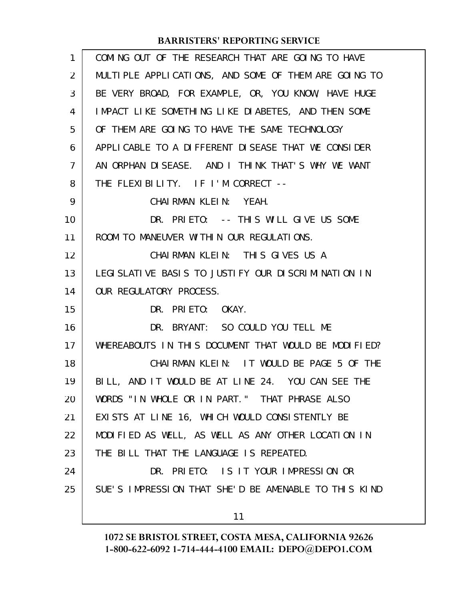| 1              | COMING OUT OF THE RESEARCH THAT ARE GOING TO HAVE       |
|----------------|---------------------------------------------------------|
| 2              | MULTIPLE APPLICATIONS, AND SOME OF THEM ARE GOING TO    |
| 3              | BE VERY BROAD, FOR EXAMPLE, OR, YOU KNOW, HAVE HUGE     |
| 4              | IMPACT LIKE SOMETHING LIKE DIABETES, AND THEN SOME      |
| 5              | OF THEM ARE GOING TO HAVE THE SAME TECHNOLOGY           |
| 6              | APPLI CABLE TO A DIFFERENT DI SEASE THAT WE CONSIDER    |
| $\overline{7}$ | AN ORPHAN DISEASE. AND I THINK THAT'S WHY WE WANT       |
| 8              | THE FLEXIBILITY. IF I'M CORRECT --                      |
| 9              | CHAIRMAN KLEIN: YEAH.                                   |
| 10             | DR. PRIETO: -- THIS WILL GIVE US SOME                   |
| 11             | ROOM TO MANEUVER WITHIN OUR REGULATIONS.                |
| 12             | CHAIRMAN KLEIN: THIS GIVES US A                         |
| 13             | LEGI SLATI VE BASI S TO JUSTI FY OUR DI SCRIMINATION IN |
| 14             | OUR REGULATORY PROCESS.                                 |
| 15             | DR. PRIETO: OKAY.                                       |
| 16             | DR. BRYANT: SO COULD YOU TELL ME                        |
| 17             | WHEREABOUTS IN THIS DOCUMENT THAT WOULD BE MODIFIED?    |
| 18             | CHAIRMAN KLEIN: IT WOULD BE PAGE 5 OF THE               |
| 19             | BILL, AND IT WOULD BE AT LINE 24. YOU CAN SEE THE       |
| 20             | WORDS "IN WHOLE OR IN PART." THAT PHRASE ALSO           |
| 21             | EXISTS AT LINE 16, WHICH WOULD CONSISTENTLY BE          |
| 22             | MODIFIED AS WELL, AS WELL AS ANY OTHER LOCATION IN      |
| 23             | THE BILL THAT THE LANGUAGE IS REPEATED.                 |
| 24             | DR. PRIETO: IS IT YOUR IMPRESSION OR                    |
| 25             | SUE'S IMPRESSION THAT SHE'D BE AMENABLE TO THIS KIND    |
|                | 11                                                      |
|                |                                                         |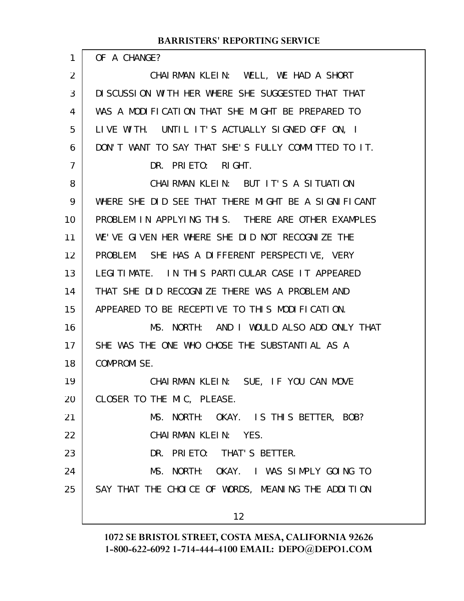OF A CHANGE?

1

CHAIRMAN KLEIN: WELL, WE HAD A SHORT DISCUSSION WITH HER WHERE SHE SUGGESTED THAT THAT WAS A MODIFICATION THAT SHE MIGHT BE PREPARED TO LIVE WITH. UNTIL IT'S ACTUALLY SIGNED OFF ON, I DON'T WANT TO SAY THAT SHE'S FULLY COMMITTED TO IT. DR. PRIETO: RIGHT. CHAIRMAN KLEIN: BUT IT'S A SITUATION WHERE SHE DID SEE THAT THERE MIGHT BE A SIGNIFICANT PROBLEM IN APPLYING THIS. THERE ARE OTHER EXAMPLES WE'VE GIVEN HER WHERE SHE DID NOT RECOGNIZE THE PROBLEM. SHE HAS A DIFFERENT PERSPECTIVE, VERY LEGITIMATE. IN THIS PARTICULAR CASE IT APPEARED THAT SHE DID RECOGNIZE THERE WAS A PROBLEM AND APPEARED TO BE RECEPTIVE TO THIS MODIFICATION. MS. NORTH: AND I WOULD ALSO ADD ONLY THAT SHE WAS THE ONE WHO CHOSE THE SUBSTANTIAL AS A COMPROMISE. CHAIRMAN KLEIN: SUE, IF YOU CAN MOVE CLOSER TO THE MIC, PLEASE. MS. NORTH: OKAY. IS THIS BETTER, BOB? CHAIRMAN KLEIN: YES. DR. PRIETO: THAT'S BETTER. MS. NORTH: OKAY. I WAS SIMPLY GOING TO SAY THAT THE CHOICE OF WORDS, MEANING THE ADDITION 2 3 4 5 6 7 8 9 10 11 12 13 14 15 16 17 18 19 20 21 22 23 24 25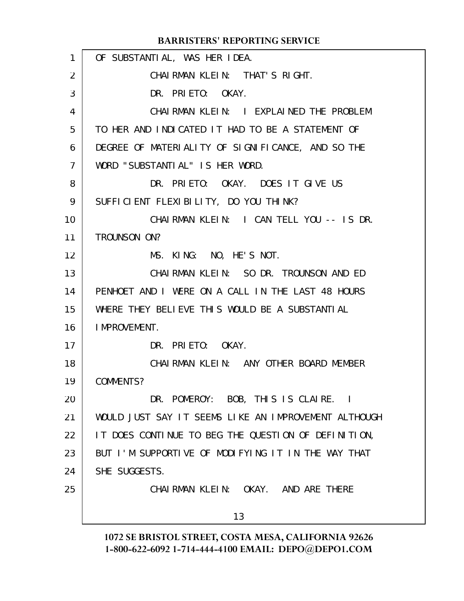#### OF SUBSTANTIAL, WAS HER IDEA. CHAIRMAN KLEIN: THAT'S RIGHT. DR. PRIETO: OKAY. CHAIRMAN KLEIN: I EXPLAINED THE PROBLEM TO HER AND INDICATED IT HAD TO BE A STATEMENT OF DEGREE OF MATERIALITY OF SIGNIFICANCE, AND SO THE WORD "SUBSTANTIAL" IS HER WORD. DR. PRIETO: OKAY. DOES IT GIVE US SUFFICIENT FLEXIBILITY, DO YOU THINK? CHAIRMAN KLEIN: I CAN TELL YOU -- IS DR. TROUNSON ON? MS. KING: NO, HE'S NOT. CHAIRMAN KLEIN: SO DR. TROUNSON AND ED PENHOET AND I WERE ON A CALL IN THE LAST 48 HOURS WHERE THEY BELIEVE THIS WOULD BE A SUBSTANTIAL IMPROVEMENT. DR. PRIETO: OKAY. CHAIRMAN KLEIN: ANY OTHER BOARD MEMBER COMMENTS? DR. POMEROY: BOB, THIS IS CLAIRE. I WOULD JUST SAY IT SEEMS LIKE AN IMPROVEMENT ALTHOUGH IT DOES CONTINUE TO BEG THE QUESTION OF DEFINITION, BUT I'M SUPPORTIVE OF MODIFYING IT IN THE WAY THAT SHE SUGGESTS. CHAIRMAN KLEIN: OKAY. AND ARE THERE 13 **BARRISTERS' REPORTING SERVICE** 1 2 3 4 5 6 7 8 9 10 11 12 13 14 15 16 17 18 19 20 21 22 23 24 25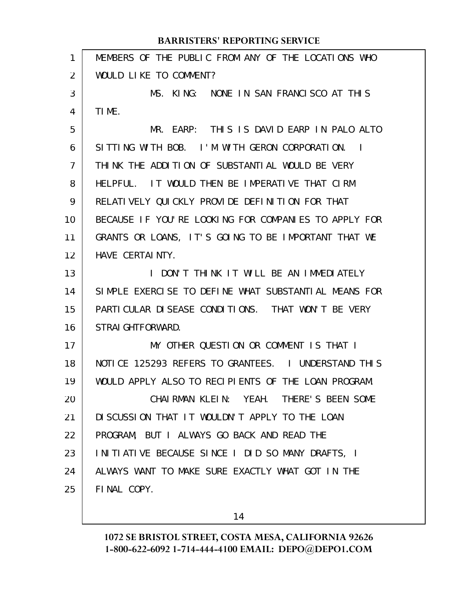| WOULD LIKE TO COMMENT?<br>2<br>3<br>MS. KING: NONE IN SAN FRANCISCO AT THIS<br>TIME.<br>4<br>5<br>SITTING WITH BOB. I'M WITH GERON CORPORATION.<br>6<br>$\sim$ 1<br>THINK THE ADDITION OF SUBSTANTIAL WOULD BE VERY<br>7<br>HELPFUL. IT WOULD THEN BE IMPERATIVE THAT CIRM<br>8<br>RELATIVELY QUICKLY PROVIDE DEFINITION FOR THAT<br>9<br>10<br>GRANTS OR LOANS, IT'S GOING TO BE IMPORTANT THAT WE<br>11<br>HAVE CERTAINTY.<br>12<br>I DON'T THINK IT WILL BE AN IMMEDIATELY<br>13<br>14<br>PARTI CULAR DI SEASE CONDI TI ONS. THAT WON'T BE VERY<br>15<br>STRAI GHTFORWARD.<br>16<br>MY OTHER QUESTION OR COMMENT IS THAT I<br>17<br>18<br>WOULD APPLY ALSO TO RECIPIENTS OF THE LOAN PROGRAM.<br>19<br>CHAIRMAN KLEIN: YEAH. THERE'S BEEN SOME<br>20<br>DISCUSSION THAT IT WOULDN'T APPLY TO THE LOAN<br>21<br>PROGRAM, BUT I ALWAYS GO BACK AND READ THE<br>22<br>INITIATIVE BECAUSE SINCE I DID SO MANY DRAFTS, I<br>23<br>ALWAYS WANT TO MAKE SURE EXACTLY WHAT GOT IN THE<br>24 | 1  | MEMBERS OF THE PUBLIC FROM ANY OF THE LOCATIONS WHO  |
|----------------------------------------------------------------------------------------------------------------------------------------------------------------------------------------------------------------------------------------------------------------------------------------------------------------------------------------------------------------------------------------------------------------------------------------------------------------------------------------------------------------------------------------------------------------------------------------------------------------------------------------------------------------------------------------------------------------------------------------------------------------------------------------------------------------------------------------------------------------------------------------------------------------------------------------------------------------------------------------|----|------------------------------------------------------|
|                                                                                                                                                                                                                                                                                                                                                                                                                                                                                                                                                                                                                                                                                                                                                                                                                                                                                                                                                                                        |    |                                                      |
|                                                                                                                                                                                                                                                                                                                                                                                                                                                                                                                                                                                                                                                                                                                                                                                                                                                                                                                                                                                        |    |                                                      |
|                                                                                                                                                                                                                                                                                                                                                                                                                                                                                                                                                                                                                                                                                                                                                                                                                                                                                                                                                                                        |    |                                                      |
|                                                                                                                                                                                                                                                                                                                                                                                                                                                                                                                                                                                                                                                                                                                                                                                                                                                                                                                                                                                        |    | MR. EARP: THIS IS DAVID EARP IN PALO ALTO            |
|                                                                                                                                                                                                                                                                                                                                                                                                                                                                                                                                                                                                                                                                                                                                                                                                                                                                                                                                                                                        |    |                                                      |
|                                                                                                                                                                                                                                                                                                                                                                                                                                                                                                                                                                                                                                                                                                                                                                                                                                                                                                                                                                                        |    |                                                      |
|                                                                                                                                                                                                                                                                                                                                                                                                                                                                                                                                                                                                                                                                                                                                                                                                                                                                                                                                                                                        |    |                                                      |
|                                                                                                                                                                                                                                                                                                                                                                                                                                                                                                                                                                                                                                                                                                                                                                                                                                                                                                                                                                                        |    |                                                      |
|                                                                                                                                                                                                                                                                                                                                                                                                                                                                                                                                                                                                                                                                                                                                                                                                                                                                                                                                                                                        |    | BECAUSE IF YOU'RE LOOKING FOR COMPANIES TO APPLY FOR |
|                                                                                                                                                                                                                                                                                                                                                                                                                                                                                                                                                                                                                                                                                                                                                                                                                                                                                                                                                                                        |    |                                                      |
|                                                                                                                                                                                                                                                                                                                                                                                                                                                                                                                                                                                                                                                                                                                                                                                                                                                                                                                                                                                        |    |                                                      |
|                                                                                                                                                                                                                                                                                                                                                                                                                                                                                                                                                                                                                                                                                                                                                                                                                                                                                                                                                                                        |    |                                                      |
|                                                                                                                                                                                                                                                                                                                                                                                                                                                                                                                                                                                                                                                                                                                                                                                                                                                                                                                                                                                        |    | SIMPLE EXERCISE TO DEFINE WHAT SUBSTANTIAL MEANS FOR |
|                                                                                                                                                                                                                                                                                                                                                                                                                                                                                                                                                                                                                                                                                                                                                                                                                                                                                                                                                                                        |    |                                                      |
|                                                                                                                                                                                                                                                                                                                                                                                                                                                                                                                                                                                                                                                                                                                                                                                                                                                                                                                                                                                        |    |                                                      |
|                                                                                                                                                                                                                                                                                                                                                                                                                                                                                                                                                                                                                                                                                                                                                                                                                                                                                                                                                                                        |    |                                                      |
|                                                                                                                                                                                                                                                                                                                                                                                                                                                                                                                                                                                                                                                                                                                                                                                                                                                                                                                                                                                        |    | NOTICE 125293 REFERS TO GRANTEES. I UNDERSTAND THIS  |
|                                                                                                                                                                                                                                                                                                                                                                                                                                                                                                                                                                                                                                                                                                                                                                                                                                                                                                                                                                                        |    |                                                      |
|                                                                                                                                                                                                                                                                                                                                                                                                                                                                                                                                                                                                                                                                                                                                                                                                                                                                                                                                                                                        |    |                                                      |
|                                                                                                                                                                                                                                                                                                                                                                                                                                                                                                                                                                                                                                                                                                                                                                                                                                                                                                                                                                                        |    |                                                      |
|                                                                                                                                                                                                                                                                                                                                                                                                                                                                                                                                                                                                                                                                                                                                                                                                                                                                                                                                                                                        |    |                                                      |
|                                                                                                                                                                                                                                                                                                                                                                                                                                                                                                                                                                                                                                                                                                                                                                                                                                                                                                                                                                                        |    |                                                      |
|                                                                                                                                                                                                                                                                                                                                                                                                                                                                                                                                                                                                                                                                                                                                                                                                                                                                                                                                                                                        |    |                                                      |
|                                                                                                                                                                                                                                                                                                                                                                                                                                                                                                                                                                                                                                                                                                                                                                                                                                                                                                                                                                                        | 25 | FINAL COPY.                                          |

14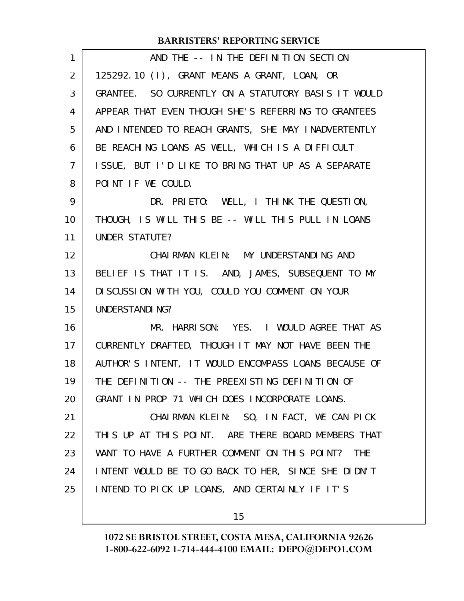| $\mathbf{1}$ | AND THE -- IN THE DEFINITION SECTION                 |
|--------------|------------------------------------------------------|
| 2            | 125292.10 (I), GRANT MEANS A GRANT, LOAN, OR         |
| 3            | GRANTEE. SO CURRENTLY ON A STATUTORY BASIS IT WOULD  |
| 4            | APPEAR THAT EVEN THOUGH SHE'S REFERRING TO GRANTEES  |
| 5            | AND INTENDED TO REACH GRANTS, SHE MAY INADVERTENTLY  |
| 6            | BE REACHING LOANS AS WELL, WHICH IS A DIFFICULT      |
| 7            | ISSUE, BUT I'D LIKE TO BRING THAT UP AS A SEPARATE   |
| 8            | POINT IF WE COULD.                                   |
| 9            | DR. PRIETO: WELL, I THINK THE QUESTION,              |
| 10           | THOUGH, IS WILL THIS BE -- WILL THIS PULL IN LOANS   |
| 11           | UNDER STATUTE?                                       |
| 12           | CHAI RMAN KLEIN: MY UNDERSTANDING AND                |
| 13           | BELIEF IS THAT IT IS. AND, JAMES, SUBSEQUENT TO MY   |
| 14           | DI SCUSSION WITH YOU, COULD YOU COMMENT ON YOUR      |
| 15           | UNDERSTANDING?                                       |
| 16           | MR. HARRISON: YES. I WOULD AGREE THAT AS             |
| 17           | CURRENTLY DRAFTED, THOUGH IT MAY NOT HAVE BEEN THE   |
| 18           | AUTHOR'S INTENT, IT WOULD ENCOMPASS LOANS BECAUSE OF |
| 19           | THE DEFINITION -- THE PREEXISTING DEFINITION OF      |
| 20           | GRANT IN PROP 71 WHICH DOES INCORPORATE LOANS.       |
| 21           | CHAIRMAN KLEIN: SO, IN FACT, WE CAN PICK             |
| 22           | THIS UP AT THIS POINT. ARE THERE BOARD MEMBERS THAT  |
| 23           | WANT TO HAVE A FURTHER COMMENT ON THIS POINT? THE    |
| 24           | INTENT WOULD BE TO GO BACK TO HER, SINCE SHE DIDN'T  |
| 25           | INTEND TO PICK UP LOANS, AND CERTAINLY IF IT'S       |
|              |                                                      |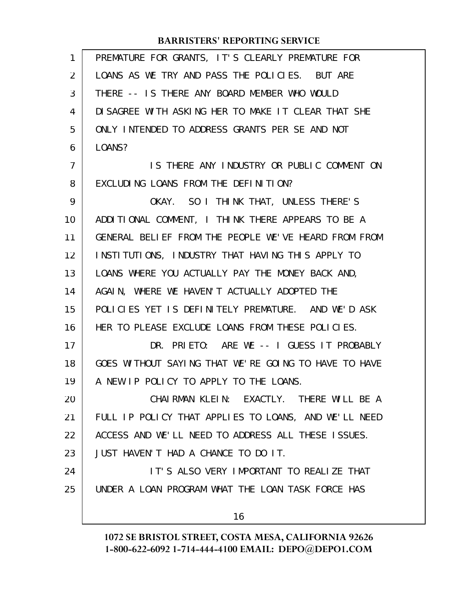| 1  | PREMATURE FOR GRANTS, IT'S CLEARLY PREMATURE FOR     |
|----|------------------------------------------------------|
| 2  | LOANS AS WE TRY AND PASS THE POLICIES. BUT ARE       |
| 3  | THERE -- IS THERE ANY BOARD MEMBER WHO WOULD         |
| 4  | DI SAGREE WITH ASKING HER TO MAKE IT CLEAR THAT SHE  |
| 5  | ONLY INTENDED TO ADDRESS GRANTS PER SE AND NOT       |
| 6  | LOANS?                                               |
| 7  | IS THERE ANY INDUSTRY OR PUBLIC COMMENT ON           |
| 8  | EXCLUDING LOANS FROM THE DEFINITION?                 |
| 9  | OKAY. SO I THINK THAT, UNLESS THERE'S                |
| 10 | ADDITIONAL COMMENT, I THINK THERE APPEARS TO BE A    |
| 11 | GENERAL BELIEF FROM THE PEOPLE WE'VE HEARD FROM FROM |
| 12 | INSTITUTIONS, INDUSTRY THAT HAVING THIS APPLY TO     |
| 13 | LOANS WHERE YOU ACTUALLY PAY THE MONEY BACK AND,     |
| 14 | AGAIN, WHERE WE HAVEN'T ACTUALLY ADOPTED THE         |
| 15 | POLICIES YET IS DEFINITELY PREMATURE. AND WE'D ASK   |
| 16 | HER TO PLEASE EXCLUDE LOANS FROM THESE POLICIES.     |
| 17 | DR. PRIETO: ARE WE -- I GUESS IT PROBABLY            |
| 18 | GOES WITHOUT SAYING THAT WE'RE GOING TO HAVE TO HAVE |
| 19 | A NEW IP POLICY TO APPLY TO THE LOANS.               |
| 20 | CHAIRMAN KLEIN: EXACTLY. THERE WILL BE A             |
| 21 | FULL IP POLICY THAT APPLIES TO LOANS, AND WE'LL NEED |
| 22 | ACCESS AND WE'LL NEED TO ADDRESS ALL THESE ISSUES.   |
| 23 | JUST HAVEN'T HAD A CHANCE TO DO IT.                  |
| 24 | IT'S ALSO VERY IMPORTANT TO REALIZE THAT             |
| 25 | UNDER A LOAN PROGRAM WHAT THE LOAN TASK FORCE HAS    |
|    | 16                                                   |
|    |                                                      |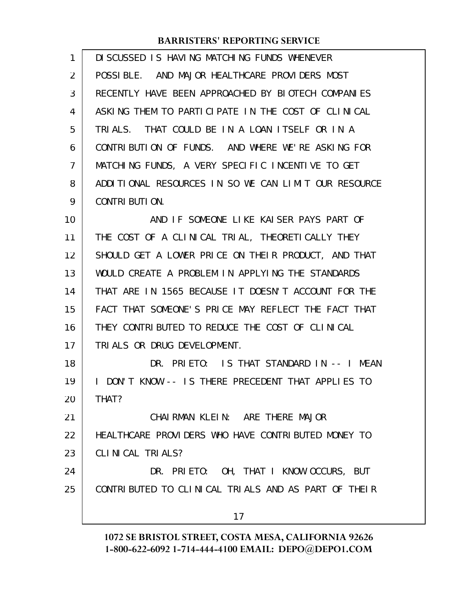| 1  | DI SCUSSED IS HAVING MATCHING FUNDS WHENEVER          |
|----|-------------------------------------------------------|
| 2  | POSSIBLE. AND MAJOR HEALTHCARE PROVIDERS MOST         |
| 3  | RECENTLY HAVE BEEN APPROACHED BY BIOTECH COMPANIES    |
| 4  | ASKING THEM TO PARTICIPATE IN THE COST OF CLINICAL    |
| 5  | TRIALS. THAT COULD BE IN A LOAN ITSELF OR IN A        |
| 6  | CONTRIBUTION OF FUNDS. AND WHERE WE'RE ASKING FOR     |
| 7  | MATCHING FUNDS, A VERY SPECIFIC INCENTIVE TO GET      |
| 8  | ADDITIONAL RESOURCES IN SO WE CAN LIMIT OUR RESOURCE  |
| 9  | CONTRIBUTION.                                         |
| 10 | AND IF SOMEONE LIKE KAISER PAYS PART OF               |
| 11 | THE COST OF A CLINICAL TRIAL, THEORETICALLY THEY      |
| 12 | SHOULD GET A LOWER PRICE ON THEIR PRODUCT, AND THAT   |
| 13 | WOULD CREATE A PROBLEM IN APPLYING THE STANDARDS      |
| 14 | THAT ARE IN 1565 BECAUSE IT DOESN'T ACCOUNT FOR THE   |
| 15 | FACT THAT SOMEONE'S PRICE MAY REFLECT THE FACT THAT   |
| 16 | THEY CONTRIBUTED TO REDUCE THE COST OF CLINICAL       |
| 17 | TRIALS OR DRUG DEVELOPMENT.                           |
| 18 | DR. PRIETO: IS THAT STANDARD IN -- I MEAN             |
| 19 | DON'T KNOW -- IS THERE PRECEDENT THAT APPLIES TO<br>L |
| 20 | THAT?                                                 |
| 21 | CHAIRMAN KLEIN: ARE THERE MAJOR                       |
| 22 | HEALTHCARE PROVIDERS WHO HAVE CONTRIBUTED MONEY TO    |
| 23 | CLINICAL TRIALS?                                      |
| 24 | DR. PRIETO: OH, THAT I KNOW OCCURS, BUT               |
| 25 | CONTRIBUTED TO CLINICAL TRIALS AND AS PART OF THEIR   |
|    | 17                                                    |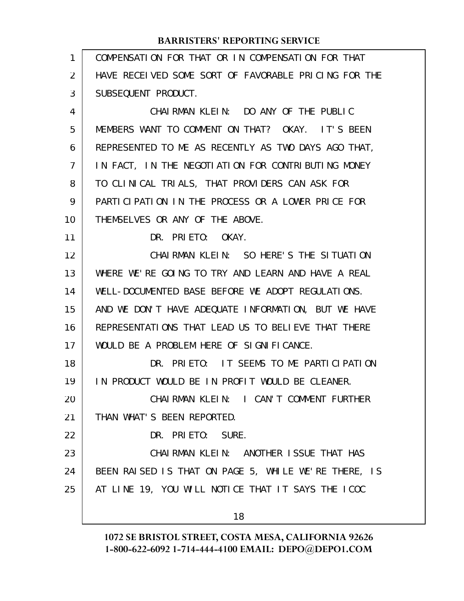| 1  | COMPENSATION FOR THAT OR IN COMPENSATION FOR THAT    |
|----|------------------------------------------------------|
| 2  | HAVE RECEIVED SOME SORT OF FAVORABLE PRICING FOR THE |
| 3  | SUBSEQUENT PRODUCT.                                  |
| 4  | CHAIRMAN KLEIN: DO ANY OF THE PUBLIC                 |
| 5  | MEMBERS WANT TO COMMENT ON THAT? OKAY. IT'S BEEN     |
| 6  | REPRESENTED TO ME AS RECENTLY AS TWO DAYS AGO THAT,  |
| 7  | IN FACT, IN THE NEGOTIATION FOR CONTRIBUTING MONEY   |
| 8  | TO CLINICAL TRIALS, THAT PROVIDERS CAN ASK FOR       |
| 9  | PARTICLEATION IN THE PROCESS OR A LOWER PRICE FOR    |
| 10 | THEMSELVES OR ANY OF THE ABOVE.                      |
| 11 | DR. PRIETO: OKAY.                                    |
| 12 | CHAIRMAN KLEIN: SO HERE'S THE SITUATION              |
| 13 | WHERE WE'RE GOING TO TRY AND LEARN AND HAVE A REAL   |
| 14 | WELL-DOCUMENTED BASE BEFORE WE ADOPT REGULATIONS.    |
| 15 | AND WE DON'T HAVE ADEQUATE INFORMATION, BUT WE HAVE  |
| 16 | REPRESENTATIONS THAT LEAD US TO BELIEVE THAT THERE   |
| 17 | WOULD BE A PROBLEM HERE OF SIGNIFICANCE.             |
| 18 | DR. PRIETO: IT SEEMS TO ME PARTICIPATION             |
| 19 | IN PRODUCT WOULD BE IN PROFIT WOULD BE CLEANER.      |
| 20 | CHAIRMAN KLEIN: I CAN'T COMMENT FURTHER              |
| 21 | THAN WHAT'S BEEN REPORTED.                           |
| 22 | DR. PRIETO: SURE.                                    |
| 23 | CHAIRMAN KLEIN: ANOTHER ISSUE THAT HAS               |
| 24 | BEEN RAISED IS THAT ON PAGE 5, WHILE WE'RE THERE, IS |
| 25 | AT LINE 19, YOU WILL NOTICE THAT IT SAYS THE ICOC    |
|    | 18                                                   |
|    |                                                      |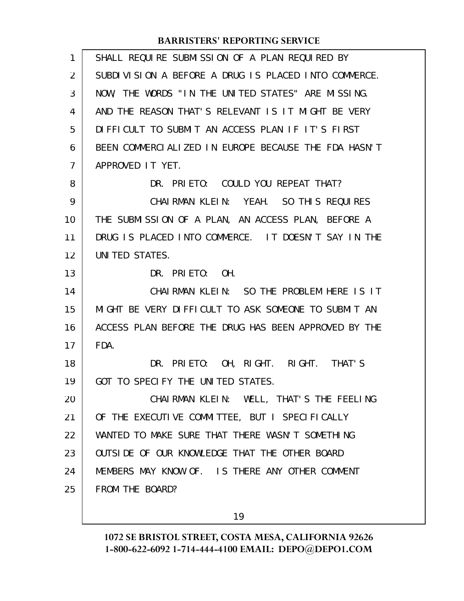| $\mathbf{1}$ | SHALL REQUIRE SUBMISSION OF A PLAN REQUIRED BY       |
|--------------|------------------------------------------------------|
| 2            | SUBDIVISION A BEFORE A DRUG IS PLACED INTO COMMERCE. |
| 3            | NOW, THE WORDS "IN THE UNITED STATES" ARE MISSING.   |
| 4            | AND THE REASON THAT'S RELEVANT IS IT MIGHT BE VERY   |
| 5            | DIFFICULT TO SUBMIT AN ACCESS PLAN IF IT'S FIRST     |
| 6            | BEEN COMMERCIALIZED IN EUROPE BECAUSE THE FDA HASN'T |
| 7            | APPROVED IT YET.                                     |
| 8            | DR. PRIETO: COULD YOU REPEAT THAT?                   |
| 9            | CHAIRMAN KLEIN: YEAH. SO THIS REQUIRES               |
| 10           | THE SUBMISSION OF A PLAN, AN ACCESS PLAN, BEFORE A   |
| 11           | DRUG IS PLACED INTO COMMERCE. IT DOESN'T SAY IN THE  |
| 12           | UNITED STATES.                                       |
| 13           | DR. PRIETO: OH.                                      |
| 14           | CHAIRMAN KLEIN: SO THE PROBLEM HERE IS IT            |
| 15           | MIGHT BE VERY DIFFICULT TO ASK SOMEONE TO SUBMIT AN  |
| 16           | ACCESS PLAN BEFORE THE DRUG HAS BEEN APPROVED BY THE |
| 17           | FDA.                                                 |
| 18           | DR. PRIETO: OH, RIGHT. RIGHT. THAT'S                 |
| 19           | GOT TO SPECIFY THE UNITED STATES.                    |
| 20           | CHAIRMAN KLEIN: WELL, THAT'S THE FEELING             |
| 21           | OF THE EXECUTIVE COMMITTEE, BUT I SPECIFICALLY       |
| 22           | WANTED TO MAKE SURE THAT THERE WASN'T SOMETHING      |
| 23           | OUTSIDE OF OUR KNOWLEDGE THAT THE OTHER BOARD        |
| 24           | MEMBERS MAY KNOW OF. IS THERE ANY OTHER COMMENT      |
| 25           | FROM THE BOARD?                                      |
|              |                                                      |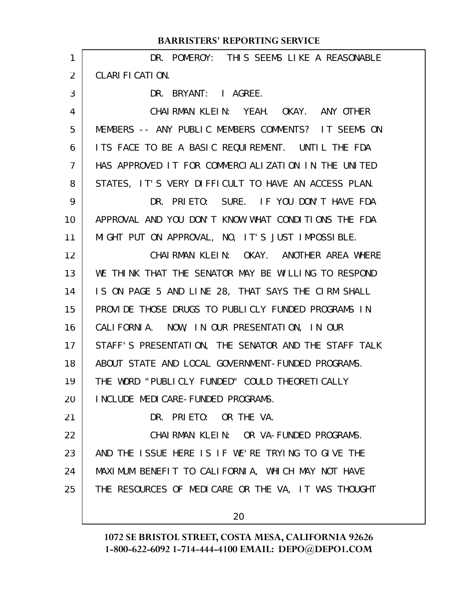| 1  | DR. POMEROY: THIS SEEMS LIKE A REASONABLE            |
|----|------------------------------------------------------|
| 2  | CLARIFICATION.                                       |
| 3  | DR. BRYANT: I AGREE.                                 |
| 4  | CHAIRMAN KLEIN: YEAH. OKAY. ANY OTHER                |
| 5  | MEMBERS -- ANY PUBLIC MEMBERS COMMENTS? IT SEEMS ON  |
| 6  | ITS FACE TO BE A BASIC REQUIREMENT. UNTIL THE FDA    |
| 7  | HAS APPROVED IT FOR COMMERCIALIZATION IN THE UNITED  |
| 8  | STATES, IT'S VERY DIFFICULT TO HAVE AN ACCESS PLAN.  |
| 9  | DR. PRIETO: SURE. IF YOU DON'T HAVE FDA              |
| 10 | APPROVAL AND YOU DON'T KNOW WHAT CONDITIONS THE FDA  |
| 11 | MIGHT PUT ON APPROVAL, NO, IT'S JUST IMPOSSIBLE.     |
| 12 | CHAIRMAN KLEIN: OKAY. ANOTHER AREA WHERE             |
| 13 | WE THINK THAT THE SENATOR MAY BE WILLING TO RESPOND  |
| 14 | IS ON PAGE 5 AND LINE 28, THAT SAYS THE CIRM SHALL   |
| 15 | PROVIDE THOSE DRUGS TO PUBLICLY FUNDED PROGRAMS IN   |
| 16 | CALIFORNIA. NOW, IN OUR PRESENTATION, IN OUR         |
| 17 | STAFF'S PRESENTATION, THE SENATOR AND THE STAFF TALK |
| 18 | ABOUT STATE AND LOCAL GOVERNMENT-FUNDED PROGRAMS.    |
| 19 | THE WORD "PUBLICLY FUNDED" COULD THEORETICALLY       |
| 20 | I NCLUDE MEDI CARE-FUNDED PROGRAMS.                  |
| 21 | DR. PRIETO: OR THE VA.                               |
| 22 | CHAI RMAN KLEIN: OR VA-FUNDED PROGRAMS.              |
| 23 | AND THE ISSUE HERE IS IF WE'RE TRYING TO GIVE THE    |
| 24 | MAXIMUM BENEFIT TO CALIFORNIA, WHICH MAY NOT HAVE    |
| 25 | THE RESOURCES OF MEDICARE OR THE VA, IT WAS THOUGHT  |
|    | 20                                                   |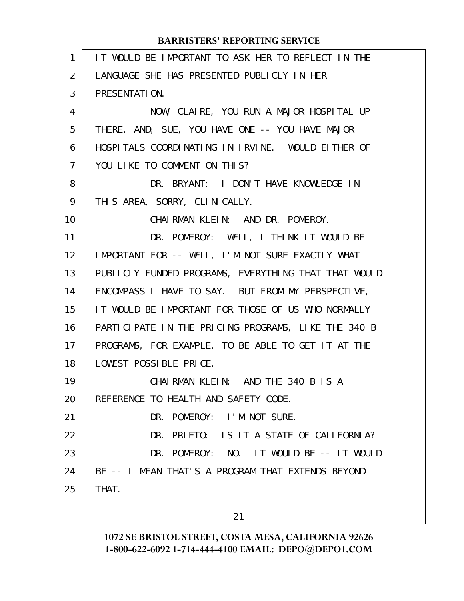| IT WOULD BE IMPORTANT TO ASK HER TO REFLECT IN THE   |
|------------------------------------------------------|
| LANGUAGE SHE HAS PRESENTED PUBLICLY IN HER           |
| PRESENTATION.                                        |
| NOW, CLAIRE, YOU RUN A MAJOR HOSPITAL UP             |
| THERE, AND, SUE, YOU HAVE ONE -- YOU HAVE MAJOR      |
| HOSPITALS COORDINATING IN IRVINE. WOULD EITHER OF    |
| YOU LIKE TO COMMENT ON THIS?                         |
| DR. BRYANT: I DON'T HAVE KNOWLEDGE IN                |
| THIS AREA, SORRY, CLINICALLY.                        |
| CHAIRMAN KLEIN: AND DR. POMEROY.                     |
| DR. POMEROY: WELL, I THINK IT WOULD BE               |
| IMPORTANT FOR -- WELL, I'M NOT SURE EXACTLY WHAT     |
| PUBLICLY FUNDED PROGRAMS, EVERYTHING THAT THAT WOULD |
| ENCOMPASS I HAVE TO SAY. BUT FROM MY PERSPECTIVE,    |
| IT WOULD BE IMPORTANT FOR THOSE OF US WHO NORMALLY   |
| PARTICIPATE IN THE PRICING PROGRAMS, LIKE THE 340 B  |
| PROGRAMS, FOR EXAMPLE, TO BE ABLE TO GET IT AT THE   |
| LOWEST POSSIBLE PRICE.                               |
| CHAIRMAN KLEIN: AND THE 340 B IS A                   |
| REFERENCE TO HEALTH AND SAFETY CODE.                 |
| DR. POMEROY: I'M NOT SURE.                           |
| DR. PRIETO: IS IT A STATE OF CALIFORNIA?             |
| DR. POMEROY: NO. IT WOULD BE -- IT WOULD             |
| BE -- I MEAN THAT'S A PROGRAM THAT EXTENDS BEYOND    |
| THAT.                                                |
| 21                                                   |
|                                                      |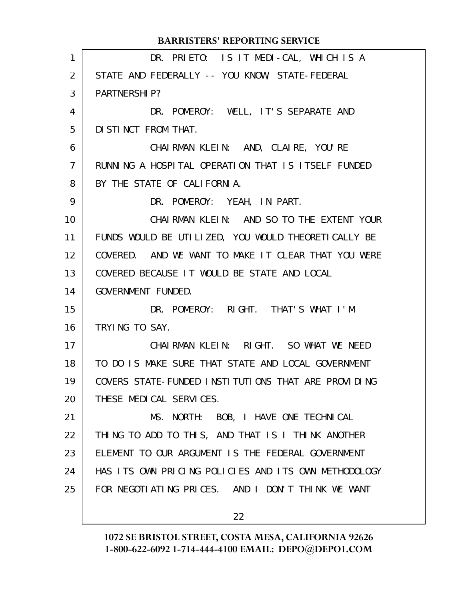|                | <b>BARRISTERS' REPORTING SERVICE</b>                 |
|----------------|------------------------------------------------------|
| 1              | DR. PRIETO: IS IT MEDI-CAL, WHICH IS A               |
| $\overline{2}$ | STATE AND FEDERALLY -- YOU KNOW, STATE-FEDERAL       |
| 3              | <b>PARTNERSHIP?</b>                                  |
| 4              | DR. POMEROY: WELL, IT'S SEPARATE AND                 |
| 5              | DI STINCT FROM THAT.                                 |
| 6              | CHAIRMAN KLEIN: AND, CLAIRE, YOU'RE                  |
| $\overline{7}$ | RUNNING A HOSPITAL OPERATION THAT IS ITSELF FUNDED   |
| 8              | BY THE STATE OF CALIFORNIA.                          |
| 9              | DR. POMEROY: YEAH, IN PART.                          |
| 10             | CHAIRMAN KLEIN: AND SO TO THE EXTENT YOUR            |
| 11             | FUNDS WOULD BE UTILIZED, YOU WOULD THEORETICALLY BE  |
| 12             | COVERED. AND WE WANT TO MAKE IT CLEAR THAT YOU WERE  |
| 13             | COVERED BECAUSE IT WOULD BE STATE AND LOCAL          |
| 14             | GOVERNMENT FUNDED.                                   |
| 15             | DR. POMEROY: RIGHT. THAT'S WHAT I'M                  |
| 16             | TRYING TO SAY.                                       |
| 17             | CHAIRMAN KLEIN: RIGHT. SO WHAT WE NEED               |
| 18             | TO DO IS MAKE SURE THAT STATE AND LOCAL GOVERNMENT   |
| 19             | COVERS STATE-FUNDED INSTITUTIONS THAT ARE PROVIDING  |
| 20             | THESE MEDICAL SERVICES.                              |
| 21             | MS. NORTH: BOB, I HAVE ONE TECHNICAL                 |
| 22             | THING TO ADD TO THIS, AND THAT IS I THINK ANOTHER    |
| 23             | ELEMENT TO OUR ARGUMENT IS THE FEDERAL GOVERNMENT    |
| 24             | HAS ITS OWN PRICING POLICIES AND ITS OWN METHODOLOGY |
| 25             | FOR NEGOTIATING PRICES. AND I DON'T THINK WE WANT    |
|                | 22                                                   |
|                |                                                      |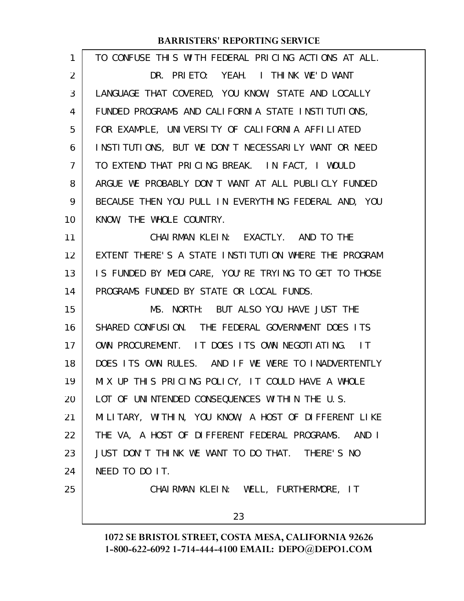| 1  | TO CONFUSE THIS WITH FEDERAL PRICING ACTIONS AT ALL.   |
|----|--------------------------------------------------------|
| 2  | DR. PRIETO: YEAH. I THINK WE'D WANT                    |
| 3  | LANGUAGE THAT COVERED, YOU KNOW, STATE AND LOCALLY     |
| 4  | FUNDED PROGRAMS AND CALIFORNIA STATE INSTITUTIONS,     |
| 5  | FOR EXAMPLE, UNIVERSITY OF CALIFORNIA AFFILIATED       |
| 6  | INSTITUTIONS, BUT WE DON'T NECESSARILY WANT OR NEED    |
| 7  | TO EXTEND THAT PRICING BREAK. IN FACT, I WOULD         |
| 8  | ARGUE WE PROBABLY DON'T WANT AT ALL PUBLICLY FUNDED    |
| 9  | BECAUSE THEN YOU PULL IN EVERYTHING FEDERAL AND, YOU   |
| 10 | KNOW, THE WHOLE COUNTRY.                               |
| 11 | CHAIRMAN KLEIN: EXACTLY. AND TO THE                    |
| 12 | EXTENT THERE'S A STATE INSTITUTION WHERE THE PROGRAM   |
| 13 | IS FUNDED BY MEDICARE, YOU'RE TRYING TO GET TO THOSE   |
| 14 | PROGRAMS FUNDED BY STATE OR LOCAL FUNDS.               |
| 15 | MS. NORTH: BUT ALSO YOU HAVE JUST THE                  |
| 16 | SHARED CONFUSION. THE FEDERAL GOVERNMENT DOES ITS      |
| 17 | OWN PROCUREMENT. IT DOES ITS OWN NEGOTIATING. IT       |
| 18 | DOES ITS OWN RULES. AND IF WE WERE TO INADVERTENTLY    |
| 19 | MIX UP THIS PRICING POLICY, IT COULD HAVE A WHOLE      |
| 20 | LOT OF UNINTENDED CONSEQUENCES WITHIN THE U.S.         |
| 21 | MILITARY, WITHIN, YOU KNOW, A HOST OF DIFFERENT LIKE   |
| 22 | THE VA, A HOST OF DIFFERENT FEDERAL PROGRAMS.<br>AND I |
| 23 | JUST DON'T THINK WE WANT TO DO THAT. THERE'S NO        |
| 24 | NEED TO DO IT.                                         |
| 25 | CHAIRMAN KLEIN: WELL, FURTHERMORE, IT                  |
|    |                                                        |

23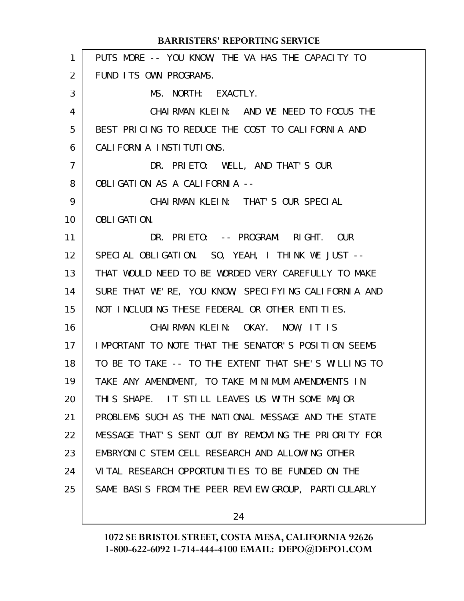| $\mathbf{1}$      | PUTS MORE -- YOU KNOW, THE VA HAS THE CAPACITY TO    |
|-------------------|------------------------------------------------------|
| $\overline{2}$    | FUND ITS OWN PROGRAMS.                               |
| 3                 | MS. NORTH: EXACTLY.                                  |
| 4                 | CHAIRMAN KLEIN: AND WE NEED TO FOCUS THE             |
| 5                 | BEST PRICING TO REDUCE THE COST TO CALIFORNIA AND    |
| 6                 | CALI FORNI A INSTITUTIONS.                           |
| $\overline{7}$    | DR. PRIETO: WELL, AND THAT'S OUR                     |
| 8                 | OBLIGATION AS A CALIFORNIA --                        |
| 9                 | CHAIRMAN KLEIN: THAT'S OUR SPECIAL                   |
| 10                | <b>OBLIGATION.</b>                                   |
| 11                | DR. PRIETO: -- PROGRAM. RIGHT. OUR                   |
| $12 \overline{ }$ | SPECIAL OBLIGATION. SO, YEAH, I THINK WE JUST --     |
| 13                | THAT WOULD NEED TO BE WORDED VERY CAREFULLY TO MAKE  |
| 14                | SURE THAT WE'RE, YOU KNOW, SPECIFYING CALIFORNIA AND |
| 15                | NOT INCLUDING THESE FEDERAL OR OTHER ENTITIES.       |
| 16                | CHAIRMAN KLEIN: OKAY. NOW, IT IS                     |
| 17                | IMPORTANT TO NOTE THAT THE SENATOR'S POSITION SEEMS  |
| 18                | TO BE TO TAKE -- TO THE EXTENT THAT SHE'S WILLING TO |
| 19                | TAKE ANY AMENDMENT, TO TAKE MINIMUM AMENDMENTS IN    |
| 20                | THIS SHAPE. IT STILL LEAVES US WITH SOME MAJOR       |
| 21                | PROBLEMS SUCH AS THE NATIONAL MESSAGE AND THE STATE  |
| 22                | MESSAGE THAT'S SENT OUT BY REMOVING THE PRIORITY FOR |
| 23                | EMBRYONIC STEM CELL RESEARCH AND ALLOWING OTHER      |
| 24                | VITAL RESEARCH OPPORTUNITIES TO BE FUNDED ON THE     |
| 25                | SAME BASIS FROM THE PEER REVIEW GROUP, PARTICULARLY  |
|                   |                                                      |

24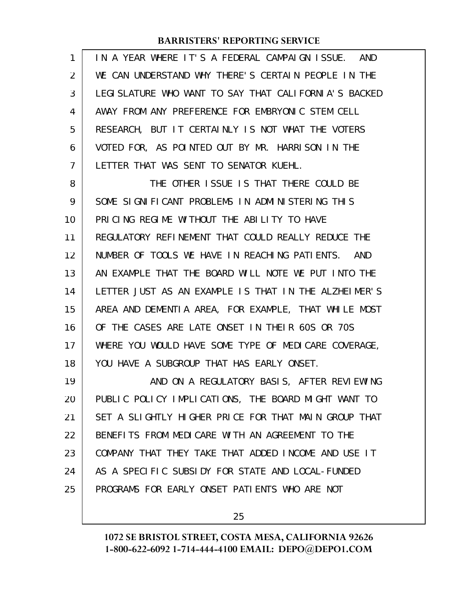| 1  | IN A YEAR WHERE IT'S A FEDERAL CAMPAIGN ISSUE. AND    |
|----|-------------------------------------------------------|
| 2  | WE CAN UNDERSTAND WHY THERE'S CERTAIN PEOPLE IN THE   |
| 3  | LEGI SLATURE WHO WANT TO SAY THAT CALIFORNIA'S BACKED |
| 4  | AWAY FROM ANY PREFERENCE FOR EMBRYONIC STEM CELL      |
| 5  | RESEARCH, BUT IT CERTAINLY IS NOT WHAT THE VOTERS     |
| 6  | VOTED FOR, AS POINTED OUT BY MR. HARRISON IN THE      |
| 7  | LETTER THAT WAS SENT TO SENATOR KUEHL.                |
| 8  | THE OTHER ISSUE IS THAT THERE COULD BE                |
| 9  | SOME SIGNIFICANT PROBLEMS IN ADMINISTERING THIS       |
| 10 | PRICING REGIME WITHOUT THE ABILITY TO HAVE            |
| 11 | REGULATORY REFINEMENT THAT COULD REALLY REDUCE THE    |
| 12 | NUMBER OF TOOLS WE HAVE IN REACHING PATIENTS. AND     |
| 13 | AN EXAMPLE THAT THE BOARD WILL NOTE WE PUT INTO THE   |
| 14 | LETTER JUST AS AN EXAMPLE IS THAT IN THE ALZHEIMER'S  |
| 15 | AREA AND DEMENTIA AREA, FOR EXAMPLE, THAT WHILE MOST  |
| 16 | OF THE CASES ARE LATE ONSET IN THEIR 60S OR 70S       |
| 17 | WHERE YOU WOULD HAVE SOME TYPE OF MEDICARE COVERAGE,  |
| 18 | YOU HAVE A SUBGROUP THAT HAS EARLY ONSET.             |
| 19 | AND ON A REGULATORY BASIS, AFTER REVIEWING            |
| 20 | PUBLIC POLICY IMPLICATIONS, THE BOARD MIGHT WANT TO   |
| 21 | SET A SLIGHTLY HIGHER PRICE FOR THAT MAIN GROUP THAT  |
| 22 | BENEFITS FROM MEDICARE WITH AN AGREEMENT TO THE       |
| 23 | COMPANY THAT THEY TAKE THAT ADDED INCOME AND USE IT   |
| 24 | AS A SPECIFIC SUBSIDY FOR STATE AND LOCAL-FUNDED      |
| 25 | PROGRAMS FOR EARLY ONSET PATIENTS WHO ARE NOT         |
|    |                                                       |

25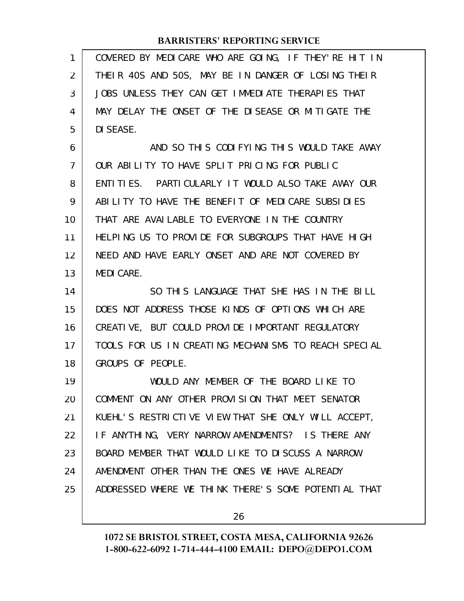| $\mathbf{1}$ | COVERED BY MEDICARE WHO ARE GOING, IF THEY'RE HIT IN |
|--------------|------------------------------------------------------|
| 2            | THEIR 40S AND 50S, MAY BE IN DANGER OF LOSING THEIR  |
| 3            | JOBS UNLESS THEY CAN GET IMMEDIATE THERAPIES THAT    |
| 4            | MAY DELAY THE ONSET OF THE DISEASE OR MITIGATE THE   |
| 5            | DI SEASE.                                            |
| 6            | AND SO THIS CODIFYING THIS WOULD TAKE AWAY           |
| 7            | OUR ABILITY TO HAVE SPLIT PRICING FOR PUBLIC         |
| 8            | ENTITIES. PARTICULARLY IT WOULD ALSO TAKE AWAY OUR   |
| 9            | ABILITY TO HAVE THE BENEFIT OF MEDICARE SUBSIDIES    |
| 10           | THAT ARE AVAILABLE TO EVERYONE IN THE COUNTRY        |
| 11           | HELPING US TO PROVIDE FOR SUBGROUPS THAT HAVE HIGH   |
| 12           | NEED AND HAVE EARLY ONSET AND ARE NOT COVERED BY     |
| 13           | <b>MEDICARE.</b>                                     |
|              |                                                      |
| 14           | SO THIS LANGUAGE THAT SHE HAS IN THE BILL            |
| 15           | DOES NOT ADDRESS THOSE KINDS OF OPTIONS WHICH ARE    |
| 16           | CREATIVE, BUT COULD PROVIDE IMPORTANT REGULATORY     |
| 17           | TOOLS FOR US IN CREATING MECHANISMS TO REACH SPECIAL |
| 18           | GROUPS OF PEOPLE.                                    |
| 19           | WOULD ANY MEMBER OF THE BOARD LIKE TO                |
| 20           | COMMENT ON ANY OTHER PROVISION THAT MEET SENATOR     |
| 21           | KUEHL'S RESTRICTIVE VIEW THAT SHE ONLY WILL ACCEPT,  |
| 22           | IF ANYTHING, VERY NARROW AMENDMENTS? IS THERE ANY    |
| 23           | BOARD MEMBER THAT WOULD LIKE TO DISCUSS A NARROW     |
| 24           | AMENDMENT OTHER THAN THE ONES WE HAVE ALREADY        |
| 25           | ADDRESSED WHERE WE THINK THERE'S SOME POTENTIAL THAT |

26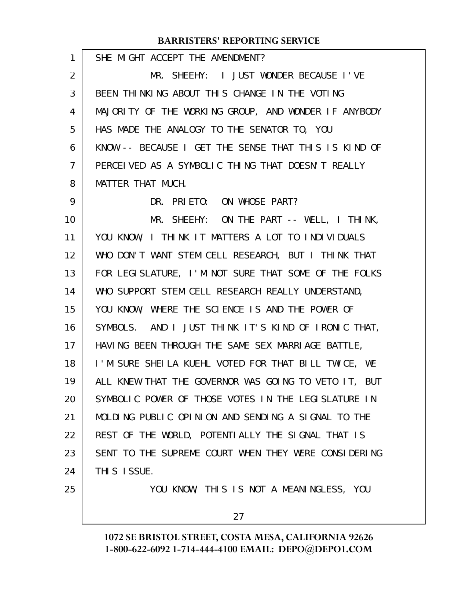| 1              | SHE MIGHT ACCEPT THE AMENDMENT?                      |
|----------------|------------------------------------------------------|
| 2              | MR. SHEEHY: I JUST WONDER BECAUSE I'VE               |
| 3              | BEEN THINKING ABOUT THIS CHANGE IN THE VOTING        |
| 4              | MAJORITY OF THE WORKING GROUP, AND WONDER IF ANYBODY |
| 5              | HAS MADE THE ANALOGY TO THE SENATOR TO, YOU          |
| 6              | KNOW -- BECAUSE I GET THE SENSE THAT THIS IS KIND OF |
| $\overline{7}$ | PERCEIVED AS A SYMBOLIC THING THAT DOESN'T REALLY    |
| 8              | MATTER THAT MUCH.                                    |
| 9              | DR. PRIETO: ON WHOSE PART?                           |
| 10             | MR. SHEEHY: ON THE PART -- WELL, I THINK,            |
| 11             | YOU KNOW, I THINK IT MATTERS A LOT TO INDIVIDUALS    |
| 12             | WHO DON'T WANT STEM CELL RESEARCH, BUT I THINK THAT  |
| 13             | FOR LEGISLATURE, I'M NOT SURE THAT SOME OF THE FOLKS |
| 14             | WHO SUPPORT STEM CELL RESEARCH REALLY UNDERSTAND,    |
| 15             | YOU KNOW, WHERE THE SCIENCE IS AND THE POWER OF      |
| 16             | SYMBOLS. AND I JUST THINK IT'S KIND OF IRONIC THAT,  |
| 17             | HAVING BEEN THROUGH THE SAME SEX MARRIAGE BATTLE,    |
| 18             | I'M SURE SHEILA KUEHL VOTED FOR THAT BILL TWICE, WE  |
| 19             | ALL KNEW THAT THE GOVERNOR WAS GOING TO VETO IT, BUT |
| 20             | SYMBOLIC POWER OF THOSE VOTES IN THE LEGISLATURE IN  |
| 21             | MOLDING PUBLIC OPINION AND SENDING A SIGNAL TO THE   |
| 22             | REST OF THE WORLD, POTENTIALLY THE SIGNAL THAT IS    |
| 23             | SENT TO THE SUPREME COURT WHEN THEY WERE CONSIDERING |
| 24             | THIS ISSUE.                                          |
| 25             | YOU KNOW, THIS IS NOT A MEANINGLESS, YOU             |
|                | 27                                                   |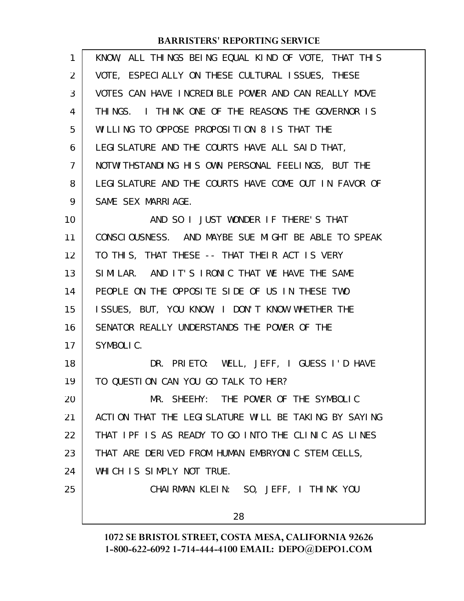| 1              | KNOW, ALL THINGS BEING EQUAL KIND OF VOTE, THAT THIS  |
|----------------|-------------------------------------------------------|
| $\overline{2}$ | VOTE, ESPECIALLY ON THESE CULTURAL ISSUES, THESE      |
| 3              | VOTES CAN HAVE INCREDIBLE POWER AND CAN REALLY MOVE   |
| 4              | THINGS. I THINK ONE OF THE REASONS THE GOVERNOR IS    |
| 5              | WILLING TO OPPOSE PROPOSITION 8 IS THAT THE           |
| 6              | LEGI SLATURE AND THE COURTS HAVE ALL SAID THAT,       |
| 7              | NOTWITHSTANDING HIS OWN PERSONAL FEELINGS, BUT THE    |
| 8              | LEGI SLATURE AND THE COURTS HAVE COME OUT IN FAVOR OF |
| 9              | SAME SEX MARRIAGE.                                    |
| 10             | AND SO I JUST WONDER IF THERE'S THAT                  |
| 11             | CONSCIOUSNESS. AND MAYBE SUE MIGHT BE ABLE TO SPEAK   |
| 12             | TO THIS, THAT THESE -- THAT THEIR ACT IS VERY         |
| 13             | SIMILAR. AND IT'S IRONIC THAT WE HAVE THE SAME        |
| 14             | PEOPLE ON THE OPPOSITE SIDE OF US IN THESE TWO        |
| 15             | ISSUES, BUT, YOU KNOW, I DON'T KNOW WHETHER THE       |
| 16             | SENATOR REALLY UNDERSTANDS THE POWER OF THE           |
| 17             | SYMBOLIC.                                             |
| 18             | DR. PRIETO: WELL, JEFF, I GUESS I'D HAVE              |
| 19             | TO QUESTION CAN YOU GO TALK TO HER?                   |
| 20             | MR. SHEEHY: THE POWER OF THE SYMBOLIC                 |
| 21             | ACTION THAT THE LEGISLATURE WILL BE TAKING BY SAYING  |
| 22             | THAT IPF IS AS READY TO GO INTO THE CLINIC AS LINES   |
| 23             | THAT ARE DERIVED FROM HUMAN EMBRYONIC STEM CELLS,     |
| 24             | WHICH IS SIMPLY NOT TRUE.                             |
| 25             | CHAIRMAN KLEIN: SO, JEFF, I THINK YOU                 |
|                | 28                                                    |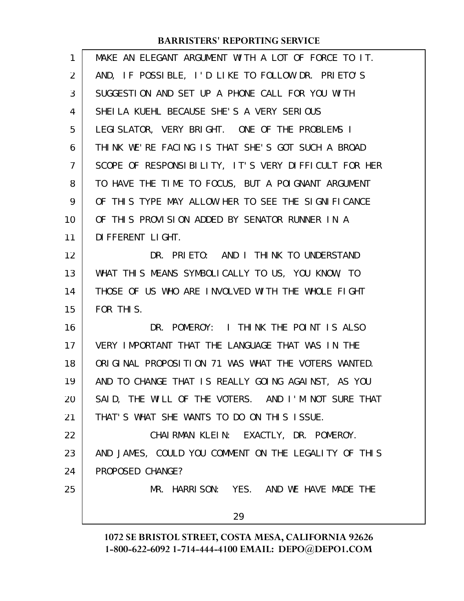| 1  | MAKE AN ELEGANT ARGUMENT WITH A LOT OF FORCE TO IT.  |
|----|------------------------------------------------------|
| 2  | AND, IF POSSIBLE, I'D LIKE TO FOLLOW DR. PRIETO'S    |
| 3  | SUGGESTION AND SET UP A PHONE CALL FOR YOU WITH      |
| 4  | SHEILA KUEHL BECAUSE SHE'S A VERY SERIOUS            |
| 5  | LEGI SLATOR, VERY BRIGHT. ONE OF THE PROBLEMS I      |
| 6  | THINK WE'RE FACING IS THAT SHE'S GOT SUCH A BROAD    |
| 7  | SCOPE OF RESPONSIBILITY, IT'S VERY DIFFICULT FOR HER |
| 8  | TO HAVE THE TIME TO FOCUS, BUT A POIGNANT ARGUMENT   |
| 9  | OF THIS TYPE MAY ALLOW HER TO SEE THE SIGNIFICANCE   |
| 10 | OF THIS PROVISION ADDED BY SENATOR RUNNER IN A       |
| 11 | DI FFERENT LI GHT.                                   |
| 12 | DR. PRIETO: AND I THINK TO UNDERSTAND                |
| 13 | WHAT THIS MEANS SYMBOLICALLY TO US, YOU KNOW, TO     |
| 14 | THOSE OF US WHO ARE INVOLVED WITH THE WHOLE FIGHT    |
| 15 | FOR THIS.                                            |
| 16 | DR. POMEROY: I THINK THE POINT IS ALSO               |
| 17 | VERY IMPORTANT THAT THE LANGUAGE THAT WAS IN THE     |
| 18 | ORIGINAL PROPOSITION 71 WAS WHAT THE VOTERS WANTED.  |
| 19 | AND TO CHANGE THAT IS REALLY GOING AGAINST, AS YOU   |
| 20 | SAID, THE WILL OF THE VOTERS. AND I'M NOT SURE THAT  |
| 21 | THAT'S WHAT SHE WANTS TO DO ON THIS ISSUE.           |
| 22 | CHAIRMAN KLEIN: EXACTLY, DR. POMEROY.                |
| 23 | AND JAMES, COULD YOU COMMENT ON THE LEGALITY OF THIS |
| 24 | PROPOSED CHANGE?                                     |
| 25 | MR. HARRISON: YES. AND WE HAVE MADE THE              |
|    | 29                                                   |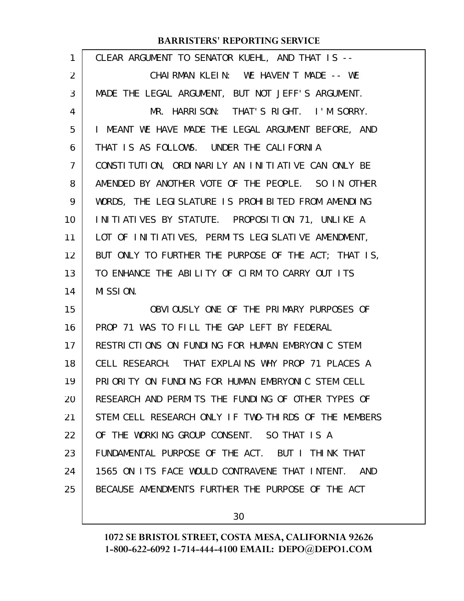| $\mathbf{1}$ | CLEAR ARGUMENT TO SENATOR KUEHL, AND THAT IS --       |
|--------------|-------------------------------------------------------|
| 2            | CHAIRMAN KLEIN: WE HAVEN'T MADE -- WE                 |
| 3            | MADE THE LEGAL ARGUMENT, BUT NOT JEFF'S ARGUMENT.     |
| 4            | MR. HARRISON: THAT'S RIGHT. I'M SORRY.                |
| 5            | I MEANT WE HAVE MADE THE LEGAL ARGUMENT BEFORE, AND   |
| 6            | THAT IS AS FOLLOWS. UNDER THE CALIFORNIA              |
| 7            | CONSTITUTION, ORDINARILY AN INITIATIVE CAN ONLY BE    |
| 8            | AMENDED BY ANOTHER VOTE OF THE PEOPLE. SO IN OTHER    |
| 9            | WORDS, THE LEGISLATURE IS PROHIBITED FROM AMENDING    |
| 10           | INITIATIVES BY STATUTE. PROPOSITION 71, UNLIKE A      |
| 11           | LOT OF INITIATIVES, PERMITS LEGISLATIVE AMENDMENT,    |
| 12           | BUT ONLY TO FURTHER THE PURPOSE OF THE ACT; THAT IS,  |
| 13           | TO ENHANCE THE ABILITY OF CIRM TO CARRY OUT ITS       |
| 14           | MISSION.                                              |
| 15           | OBVIOUSLY ONE OF THE PRIMARY PURPOSES OF              |
| 16           | PROP 71 WAS TO FILL THE GAP LEFT BY FEDERAL           |
| 17           | RESTRICTIONS ON FUNDING FOR HUMAN EMBRYONIC STEM      |
| 18           | CELL RESEARCH. THAT EXPLAINS WHY PROP 71 PLACES A     |
| 19           | PRIORITY ON FUNDING FOR HUMAN EMBRYONIC STEM CELL     |
| 20           | RESEARCH AND PERMITS THE FUNDING OF OTHER TYPES OF    |
| 21           | STEM CELL RESEARCH ONLY IF TWO-THIRDS OF THE MEMBERS  |
| 22           | OF THE WORKING GROUP CONSENT. SO THAT IS A            |
| 23           | FUNDAMENTAL PURPOSE OF THE ACT. BUT I THINK THAT      |
| 24           | 1565 ON ITS FACE WOULD CONTRAVENE THAT INTENT.<br>AND |
| 25           | BECAUSE AMENDMENTS FURTHER THE PURPOSE OF THE ACT     |

30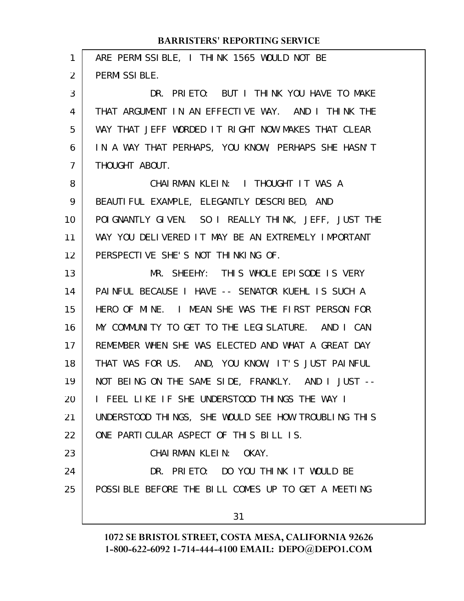| 1  | ARE PERMISSIBLE, I THINK 1565 WOULD NOT BE           |
|----|------------------------------------------------------|
| 2  | PERMISSIBLE.                                         |
| 3  | DR. PRIETO: BUT I THINK YOU HAVE TO MAKE             |
| 4  | THAT ARGUMENT IN AN EFFECTIVE WAY. AND I THINK THE   |
| 5  | WAY THAT JEFF WORDED IT RIGHT NOW MAKES THAT CLEAR   |
| 6  | IN A WAY THAT PERHAPS, YOU KNOW, PERHAPS SHE HASN'T  |
| 7  | THOUGHT ABOUT.                                       |
| 8  | CHAIRMAN KLEIN: I THOUGHT IT WAS A                   |
| 9  | BEAUTIFUL EXAMPLE, ELEGANTLY DESCRIBED, AND          |
| 10 | POI GNANTLY GIVEN. SO I REALLY THINK, JEFF, JUST THE |
| 11 | WAY YOU DELIVERED IT MAY BE AN EXTREMELY IMPORTANT   |
| 12 | PERSPECTIVE SHE'S NOT THINKING OF.                   |
| 13 | MR. SHEEHY: THIS WHOLE EPISODE IS VERY               |
| 14 | PAINFUL BECAUSE I HAVE -- SENATOR KUEHL IS SUCH A    |
| 15 | HERO OF MINE. I MEAN SHE WAS THE FIRST PERSON FOR    |
| 16 | MY COMMUNITY TO GET TO THE LEGISLATURE. AND I CAN    |
| 17 | REMEMBER WHEN SHE WAS ELECTED AND WHAT A GREAT DAY   |
| 18 | THAT WAS FOR US. AND, YOU KNOW, IT'S JUST PAINFUL    |
| 19 | NOT BEING ON THE SAME SIDE, FRANKLY. AND I JUST --   |
| 20 | I FEEL LIKE IF SHE UNDERSTOOD THINGS THE WAY I       |
| 21 | UNDERSTOOD THINGS, SHE WOULD SEE HOW TROUBLING THIS  |
| 22 | ONE PARTICULAR ASPECT OF THIS BILL IS.               |
| 23 | CHAIRMAN KLEIN: OKAY.                                |
| 24 | DR. PRIETO: DO YOU THINK IT WOULD BE                 |
| 25 | POSSIBLE BEFORE THE BILL COMES UP TO GET A MEETING   |
|    |                                                      |
|    | 31                                                   |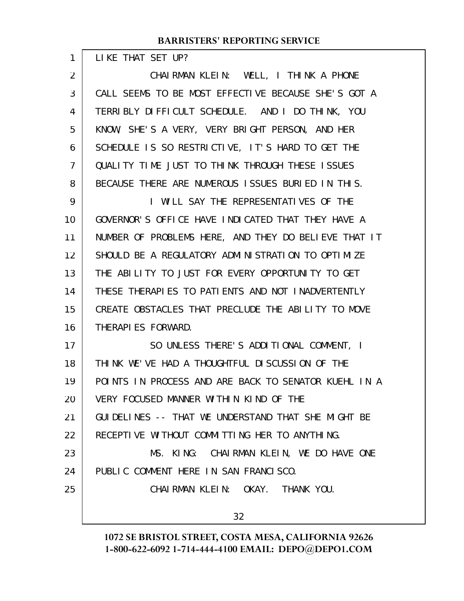|  | LIKE THAT SET UP? |  |  |
|--|-------------------|--|--|
|  |                   |  |  |

| $\overline{2}$ | CHAIRMAN KLEIN: WELL, I THINK A PHONE                |  |  |
|----------------|------------------------------------------------------|--|--|
| 3              | CALL SEEMS TO BE MOST EFFECTIVE BECAUSE SHE'S GOT A  |  |  |
| 4              | TERRIBLY DIFFICULT SCHEDULE. AND I DO THINK, YOU     |  |  |
| 5              | KNOW, SHE'S A VERY, VERY BRIGHT PERSON, AND HER      |  |  |
| 6              | SCHEDULE IS SO RESTRICTIVE, IT'S HARD TO GET THE     |  |  |
| 7              | QUALITY TIME JUST TO THINK THROUGH THESE ISSUES      |  |  |
| 8              | BECAUSE THERE ARE NUMEROUS ISSUES BURIED IN THIS.    |  |  |
| 9              | I WILL SAY THE REPRESENTATIVES OF THE                |  |  |
| 10             | GOVERNOR'S OFFICE HAVE INDICATED THAT THEY HAVE A    |  |  |
| 11             | NUMBER OF PROBLEMS HERE, AND THEY DO BELIEVE THAT IT |  |  |
| 12             | SHOULD BE A REGULATORY ADMINISTRATION TO OPTIMIZE    |  |  |
| 13             | THE ABILITY TO JUST FOR EVERY OPPORTUNITY TO GET     |  |  |
| 14             | THESE THERAPIES TO PATIENTS AND NOT INADVERTENTLY    |  |  |
| 15             | CREATE OBSTACLES THAT PRECLUDE THE ABILITY TO MOVE   |  |  |
| 16             | THERAPIES FORWARD.                                   |  |  |
| 17             | SO UNLESS THERE'S ADDITIONAL COMMENT, I              |  |  |
| 18             | THINK WE'VE HAD A THOUGHTFUL DISCUSSION OF THE       |  |  |
| 19             | POINTS IN PROCESS AND ARE BACK TO SENATOR KUEHL IN A |  |  |
| 20             | VERY FOCUSED MANNER WITHIN KIND OF THE               |  |  |
| 21             | GUI DELINES -- THAT WE UNDERSTAND THAT SHE MIGHT BE  |  |  |
| 22             | RECEPTIVE WITHOUT COMMITTING HER TO ANYTHING.        |  |  |
| 23             | MS. KING: CHAIRMAN KLEIN, WE DO HAVE ONE             |  |  |
| 24             | PUBLIC COMMENT HERE IN SAN FRANCISCO.                |  |  |
| 25             | CHAIRMAN KLEIN: OKAY. THANK YOU.                     |  |  |
|                | 32 <sup>2</sup>                                      |  |  |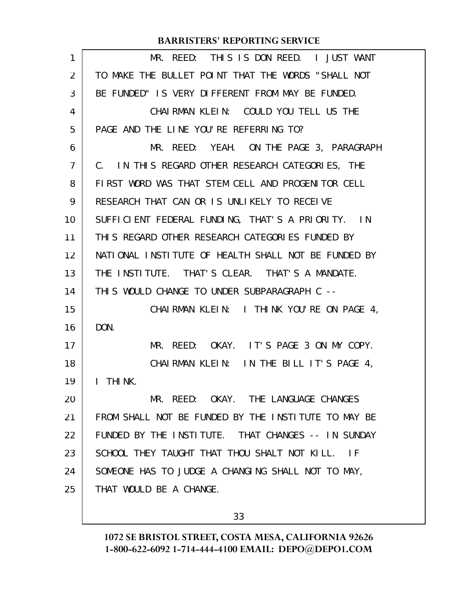| 1  | MR. REED: THIS IS DON REED. I JUST WANT                          |
|----|------------------------------------------------------------------|
| 2  | TO MAKE THE BULLET POINT THAT THE WORDS "SHALL NOT               |
| 3  | BE FUNDED" IS VERY DIFFERENT FROM MAY BE FUNDED.                 |
| 4  | CHAIRMAN KLEIN: COULD YOU TELL US THE                            |
| 5  | PAGE AND THE LINE YOU'RE REFERRING TO?                           |
| 6  | MR. REED: YEAH. ON THE PAGE 3, PARAGRAPH                         |
| 7  | C. IN THIS REGARD OTHER RESEARCH CATEGORIES, THE                 |
| 8  | FIRST WORD WAS THAT STEM CELL AND PROGENITOR CELL                |
| 9  | RESEARCH THAT CAN OR IS UNLIKELY TO RECEIVE                      |
| 10 | SUFFICIENT FEDERAL FUNDING, THAT'S A PRIORITY. IN                |
| 11 | THIS REGARD OTHER RESEARCH CATEGORIES FUNDED BY                  |
| 12 | NATIONAL INSTITUTE OF HEALTH SHALL NOT BE FUNDED BY              |
| 13 | THE INSTITUTE. THAT'S CLEAR. THAT'S A MANDATE.                   |
| 14 | THIS WOULD CHANGE TO UNDER SUBPARAGRAPH C --                     |
| 15 | CHAIRMAN KLEIN: I THINK YOU'RE ON PAGE 4,                        |
| 16 | DON.                                                             |
| 17 | MR. REED: OKAY. IT'S PAGE 3 ON MY COPY.                          |
| 18 | CHAIRMAN KLEIN: IN THE BILL IT'S PAGE 4.                         |
| 19 | THI <sub>NK</sub><br>$\mathbf{I}$                                |
| 20 | MR. REED: OKAY. THE LANGUAGE CHANGES                             |
| 21 | FROM SHALL NOT BE FUNDED BY THE INSTITUTE TO MAY BE              |
| 22 | FUNDED BY THE INSTITUTE. THAT CHANGES -- IN SUNDAY               |
| 23 | SCHOOL THEY TAUGHT THAT THOU SHALT NOT KILL.<br>$\overline{1}$ F |
| 24 | SOMEONE HAS TO JUDGE A CHANGING SHALL NOT TO MAY,                |
| 25 | THAT WOULD BE A CHANGE.                                          |
|    |                                                                  |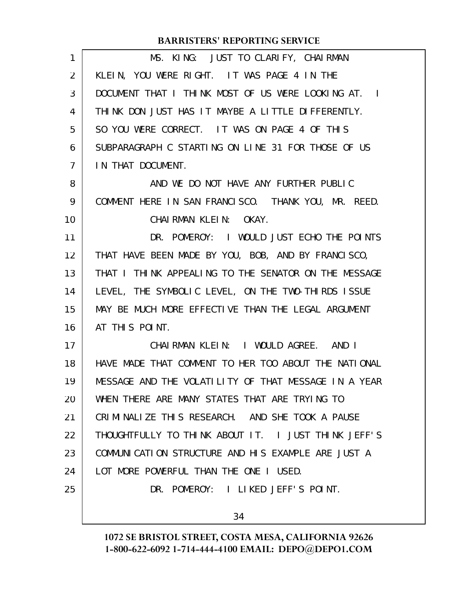| $\mathbf{1}$ | MS. KING: JUST TO CLARIFY, CHAIRMAN                  |
|--------------|------------------------------------------------------|
| 2            | KLEIN, YOU WERE RIGHT. IT WAS PAGE 4 IN THE          |
| 3            | DOCUMENT THAT I THINK MOST OF US WERE LOOKING AT. I  |
| 4            | THINK DON JUST HAS IT MAYBE A LITTLE DIFFERENTLY.    |
| 5            | SO YOU WERE CORRECT. IT WAS ON PAGE 4 OF THIS        |
| 6            | SUBPARAGRAPH C STARTING ON LINE 31 FOR THOSE OF US   |
| 7            | IN THAT DOCUMENT.                                    |
| 8            | AND WE DO NOT HAVE ANY FURTHER PUBLIC                |
| 9            | COMMENT HERE IN SAN FRANCISCO. THANK YOU, MR. REED.  |
| 10           | CHAIRMAN KLEIN: OKAY.                                |
| 11           | DR. POMEROY: I WOULD JUST ECHO THE POINTS            |
| 12           | THAT HAVE BEEN MADE BY YOU, BOB, AND BY FRANCISCO,   |
| 13           | THAT I THINK APPEALING TO THE SENATOR ON THE MESSAGE |
| 14           | LEVEL, THE SYMBOLIC LEVEL, ON THE TWO-THIRDS ISSUE   |
| 15           | MAY BE MUCH MORE EFFECTIVE THAN THE LEGAL ARGUMENT   |
| 16           | AT THIS POINT.                                       |
| 17           | CHAIRMAN KLEIN: I WOULD AGREE. AND I                 |
| 18           | HAVE MADE THAT COMMENT TO HER TOO ABOUT THE NATIONAL |
| 19           | MESSAGE AND THE VOLATILITY OF THAT MESSAGE IN A YEAR |
| 20           | WHEN THERE ARE MANY STATES THAT ARE TRYING TO        |
| 21           | CRIMINALIZE THIS RESEARCH. AND SHE TOOK A PAUSE      |
| 22           | THOUGHTFULLY TO THINK ABOUT IT. I JUST THINK JEFF'S  |
| 23           | COMMUNICATION STRUCTURE AND HIS EXAMPLE ARE JUST A   |
| 24           | LOT MORE POWERFUL THAN THE ONE I USED.               |
| 25           | DR. POMEROY: I LIKED JEFF'S POINT.                   |
|              |                                                      |
|              | 34                                                   |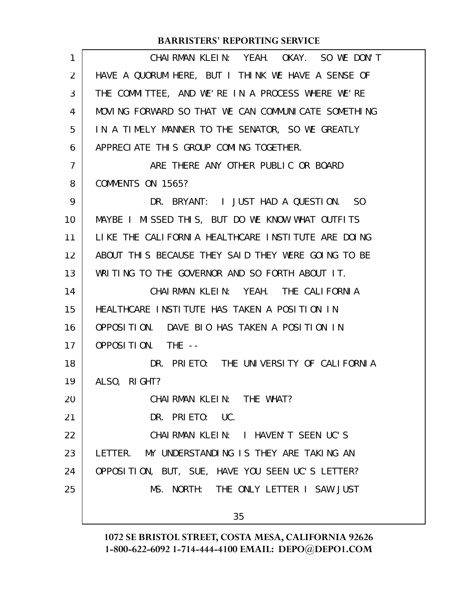| 1              | CHAIRMAN KLEIN: YEAH. OKAY. SO WE DON'T             |  |  |
|----------------|-----------------------------------------------------|--|--|
| 2              | HAVE A QUORUM HERE, BUT I THINK WE HAVE A SENSE OF  |  |  |
| 3              | THE COMMITTEE, AND WE'RE IN A PROCESS WHERE WE'RE   |  |  |
| 4              | MOVING FORWARD SO THAT WE CAN COMMUNICATE SOMETHING |  |  |
| 5              | IN A TIMELY MANNER TO THE SENATOR, SO WE GREATLY    |  |  |
| 6              | APPRECIATE THIS GROUP COMING TOGETHER.              |  |  |
| $\overline{7}$ | ARE THERE ANY OTHER PUBLIC OR BOARD                 |  |  |
| 8              | COMMENTS ON 1565?                                   |  |  |
| 9              | DR. BRYANT: I JUST HAD A QUESTION. SO               |  |  |
| 10             | MAYBE I MISSED THIS, BUT DO WE KNOW WHAT OUTFITS    |  |  |
| 11             | LIKE THE CALIFORNIA HEALTHCARE INSTITUTE ARE DOING  |  |  |
| 12             | ABOUT THIS BECAUSE THEY SAID THEY WERE GOING TO BE  |  |  |
| 13             | WRITING TO THE GOVERNOR AND SO FORTH ABOUT IT.      |  |  |
| 14             | CHAIRMAN KLEIN: YEAH. THE CALIFORNIA                |  |  |
| 15             | HEALTHCARE INSTITUTE HAS TAKEN A POSITION IN        |  |  |
| 16             | OPPOSITION. DAVE BIO HAS TAKEN A POSITION IN        |  |  |
| 17             | OPPOSITION. THE --                                  |  |  |
| 18             | DR. PRIETO: THE UNIVERSITY OF CALIFORNIA            |  |  |
| 19             | ALSO, RIGHT?                                        |  |  |
| 20             | CHAI RMAN KLEIN: THE WHAT?                          |  |  |
| 21             | DR. PRIETO: UC.                                     |  |  |
| 22             | CHAIRMAN KLEIN: I HAVEN'T SEEN UC'S                 |  |  |
| 23             | LETTER. MY UNDERSTANDING IS THEY ARE TAKING AN      |  |  |
| 24             | OPPOSITION, BUT, SUE, HAVE YOU SEEN UC'S LETTER?    |  |  |
| 25             | MS. NORTH: THE ONLY LETTER I SAW JUST               |  |  |
|                | 35                                                  |  |  |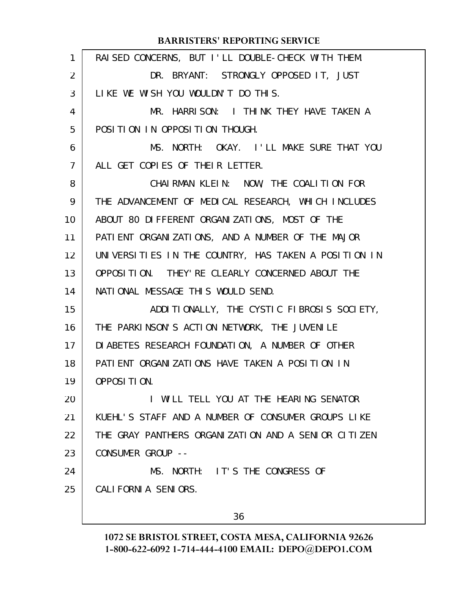| $\mathbf{1}$ | RAI SED CONCERNS, BUT I'LL DOUBLE-CHECK WITH THEM.   |
|--------------|------------------------------------------------------|
| 2            | DR. BRYANT: STRONGLY OPPOSED IT, JUST                |
| 3            | LIKE WE WISH YOU WOULDN'T DO THIS.                   |
| 4            | MR. HARRISON: I THINK THEY HAVE TAKEN A              |
| 5            | POSITION IN OPPOSITION THOUGH.                       |
| 6            | MS. NORTH: OKAY. I'LL MAKE SURE THAT YOU             |
| 7            | ALL GET COPIES OF THEIR LETTER.                      |
| 8            | CHAIRMAN KLEIN: NOW, THE COALITION FOR               |
| 9            | THE ADVANCEMENT OF MEDICAL RESEARCH, WHICH INCLUDES  |
| 10           | ABOUT 80 DIFFERENT ORGANIZATIONS, MOST OF THE        |
| 11           | PATIENT ORGANIZATIONS, AND A NUMBER OF THE MAJOR     |
| 12           | UNIVERSITIES IN THE COUNTRY, HAS TAKEN A POSITION IN |
| 13           | OPPOSITION. THEY' RE CLEARLY CONCERNED ABOUT THE     |
| 14           | NATIONAL MESSAGE THIS WOULD SEND.                    |
| 15           | ADDITIONALLY, THE CYSTIC FIBROSIS SOCIETY,           |
| 16           | THE PARKINSON'S ACTION NETWORK, THE JUVENILE         |
| 17           | DI ABETES RESEARCH FOUNDATION, A NUMBER OF OTHER     |
| 18           | PATIENT ORGANIZATIONS HAVE TAKEN A POSITION IN       |
| 19           | OPPOSITION.                                          |
| 20           | I WILL TELL YOU AT THE HEARING SENATOR               |
| 21           | KUEHL'S STAFF AND A NUMBER OF CONSUMER GROUPS LIKE   |
| 22           | THE GRAY PANTHERS ORGANIZATION AND A SENIOR CITIZEN  |
| 23           | CONSUMER GROUP --                                    |
| 24           | MS. NORTH: IT'S THE CONGRESS OF                      |
| 25           | CALIFORNIA SENIORS.                                  |
|              |                                                      |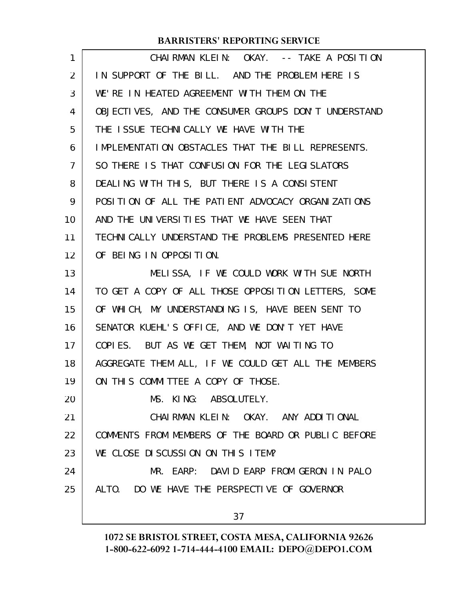| $\mathbf{1}$ | CHAIRMAN KLEIN: OKAY. -- TAKE A POSITION             |
|--------------|------------------------------------------------------|
| 2            | IN SUPPORT OF THE BILL. AND THE PROBLEM HERE IS      |
| 3            | WE'RE IN HEATED AGREEMENT WITH THEM ON THE           |
| 4            | OBJECTIVES, AND THE CONSUMER GROUPS DON'T UNDERSTAND |
| 5            | THE ISSUE TECHNICALLY WE HAVE WITH THE               |
| 6            | IMPLEMENTATION OBSTACLES THAT THE BILL REPRESENTS.   |
| 7            | SO THERE IS THAT CONFUSION FOR THE LEGISLATORS       |
| 8            | DEALING WITH THIS, BUT THERE IS A CONSISTENT         |
| 9            | POSITION OF ALL THE PATIENT ADVOCACY ORGANIZATIONS   |
| 10           | AND THE UNIVERSITIES THAT WE HAVE SEEN THAT          |
| 11           | TECHNICALLY UNDERSTAND THE PROBLEMS PRESENTED HERE   |
| 12           | OF BEING IN OPPOSITION.                              |
| 13           | MELISSA, IF WE COULD WORK WITH SUE NORTH             |
| 14           | TO GET A COPY OF ALL THOSE OPPOSITION LETTERS, SOME  |
| 15           | OF WHICH, MY UNDERSTANDING IS, HAVE BEEN SENT TO     |
| 16           | SENATOR KUEHL'S OFFICE, AND WE DON'T YET HAVE        |
| 17           | COPIES. BUT AS WE GET THEM, NOT WAITING TO           |
| 18           | AGGREGATE THEM ALL, IF WE COULD GET ALL THE MEMBERS  |
| 19           | ON THIS COMMITTEE A COPY OF THOSE.                   |
| 20           | MS. KING: ABSOLUTELY.                                |
| 21           | CHAIRMAN KLEIN: OKAY. ANY ADDITIONAL                 |
| 22           | COMMENTS FROM MEMBERS OF THE BOARD OR PUBLIC BEFORE  |
| 23           | WE CLOSE DISCUSSION ON THIS ITEM?                    |
| 24           | MR. EARP: DAVID EARP FROM GERON IN PALO              |
| 25           | ALTO. DO WE HAVE THE PERSPECTIVE OF GOVERNOR         |
|              | 37                                                   |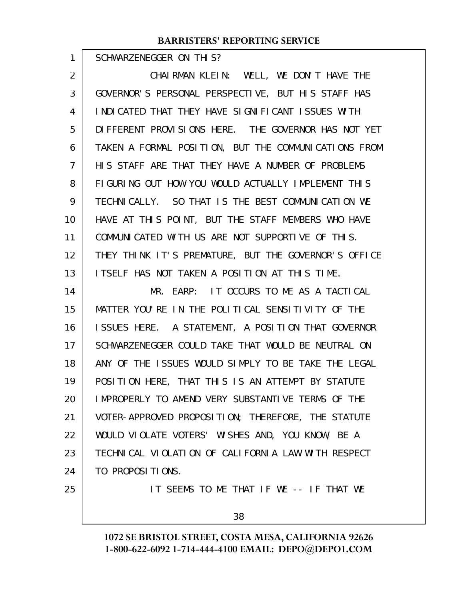SCHWARZENEGGER ON THIS?

1

CHAIRMAN KLEIN: WELL, WE DON'T HAVE THE GOVERNOR'S PERSONAL PERSPECTIVE, BUT HIS STAFF HAS INDICATED THAT THEY HAVE SIGNIFICANT ISSUES WITH DIFFERENT PROVISIONS HERE. THE GOVERNOR HAS NOT YET TAKEN A FORMAL POSITION, BUT THE COMMUNICATIONS FROM HIS STAFF ARE THAT THEY HAVE A NUMBER OF PROBLEMS FIGURING OUT HOW YOU WOULD ACTUALLY IMPLEMENT THIS TECHNICALLY. SO THAT IS THE BEST COMMUNICATION WE HAVE AT THIS POINT, BUT THE STAFF MEMBERS WHO HAVE COMMUNICATED WITH US ARE NOT SUPPORTIVE OF THIS. THEY THINK IT'S PREMATURE, BUT THE GOVERNOR'S OFFICE ITSELF HAS NOT TAKEN A POSITION AT THIS TIME. MR. EARP: IT OCCURS TO ME AS A TACTICAL MATTER YOU'RE IN THE POLITICAL SENSITIVITY OF THE ISSUES HERE. A STATEMENT, A POSITION THAT GOVERNOR SCHWARZENEGGER COULD TAKE THAT WOULD BE NEUTRAL ON ANY OF THE ISSUES WOULD SIMPLY TO BE TAKE THE LEGAL POSITION HERE, THAT THIS IS AN ATTEMPT BY STATUTE IMPROPERLY TO AMEND VERY SUBSTANTIVE TERMS OF THE VOTER-APPROVED PROPOSITION; THEREFORE, THE STATUTE WOULD VIOLATE VOTERS' WISHES AND, YOU KNOW, BE A TECHNICAL VIOLATION OF CALIFORNIA LAW WITH RESPECT 2 3 4 5 6 7 8 9 10 11 12 13 14 15 16 17 18 19 20 21 22 23

TO PROPOSITIONS. 24

25

IT SEEMS TO ME THAT IF WE -- IF THAT WE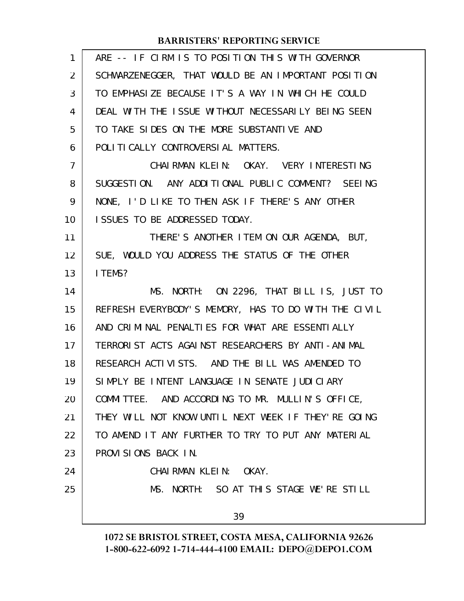| $\mathbf{1}$   | ARE -- IF CIRM IS TO POSITION THIS WITH GOVERNOR     |
|----------------|------------------------------------------------------|
| $\overline{2}$ | SCHWARZENEGGER, THAT WOULD BE AN IMPORTANT POSITION  |
| 3              | TO EMPHASIZE BECAUSE IT'S A WAY IN WHICH HE COULD    |
| 4              | DEAL WITH THE ISSUE WITHOUT NECESSARILY BEING SEEN   |
| 5              | TO TAKE SIDES ON THE MORE SUBSTANTIVE AND            |
| 6              | POLITICALLY CONTROVERSIAL MATTERS.                   |
| $\overline{7}$ | CHAIRMAN KLEIN: OKAY. VERY INTERESTING               |
| 8              | SUGGESTION. ANY ADDITIONAL PUBLIC COMMENT? SEEING    |
| 9              | NONE, I'D LIKE TO THEN ASK IF THERE'S ANY OTHER      |
| 10             | ISSUES TO BE ADDRESSED TODAY.                        |
| 11             | THERE'S ANOTHER ITEM ON OUR AGENDA, BUT,             |
| 12             | SUE, WOULD YOU ADDRESS THE STATUS OF THE OTHER       |
| 13             | I TEMS?                                              |
| 14             | MS. NORTH: ON 2296, THAT BILL IS, JUST TO            |
| 15             | REFRESH EVERYBODY'S MEMORY, HAS TO DO WITH THE CIVIL |
| 16             | AND CRIMINAL PENALTIES FOR WHAT ARE ESSENTIALLY      |
| 17             | TERRORIST ACTS AGAINST RESEARCHERS BY ANTI-ANIMAL    |
| 18             | RESEARCH ACTIVISTS. AND THE BILL WAS AMENDED TO      |
| 19             | SIMPLY BE INTENT LANGUAGE IN SENATE JUDICIARY        |
| 20             | COMMITTEE. AND ACCORDING TO MR. MULLIN'S OFFICE,     |
| 21             | THEY WILL NOT KNOW UNTIL NEXT WEEK IF THEY'RE GOING  |
| 22             | TO AMEND IT ANY FURTHER TO TRY TO PUT ANY MATERIAL   |
| 23             | PROVISIONS BACK IN.                                  |
| 24             | CHAIRMAN KLEIN: OKAY.                                |
| 25             | MS. NORTH: SO AT THIS STAGE WE'RE STILL              |
|                | 39                                                   |
|                |                                                      |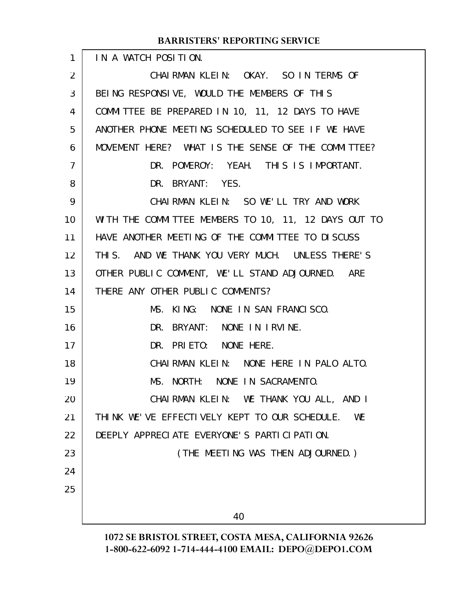| $\mathbf{1}$ | IN A WATCH POSITION.                                 |
|--------------|------------------------------------------------------|
| 2            | CHAIRMAN KLEIN: OKAY. SO IN TERMS OF                 |
| 3            | BEING RESPONSIVE, WOULD THE MEMBERS OF THIS          |
| 4            | COMMITTEE BE PREPARED IN 10, 11, 12 DAYS TO HAVE     |
| 5            | ANOTHER PHONE MEETING SCHEDULED TO SEE IF WE HAVE    |
| 6            | MOVEMENT HERE? WHAT IS THE SENSE OF THE COMMITTEE?   |
| 7            | DR. POMEROY: YEAH. THIS IS IMPORTANT.                |
| 8            | DR. BRYANT: YES.                                     |
| 9            | CHAIRMAN KLEIN: SO WE'LL TRY AND WORK                |
| 10           | WITH THE COMMITTEE MEMBERS TO 10, 11, 12 DAYS OUT TO |
| 11           | HAVE ANOTHER MEETING OF THE COMMITTEE TO DISCUSS     |
| 12           | THIS. AND WE THANK YOU VERY MUCH. UNLESS THERE'S     |
| 13           | OTHER PUBLIC COMMENT, WE'LL STAND ADJOURNED. ARE     |
| 14           | THERE ANY OTHER PUBLIC COMMENTS?                     |
| 15           | MS. KING: NONE IN SAN FRANCISCO.                     |
| 16           | DR. BRYANT: NONE IN IRVINE.                          |
| 17           | DR. PRIETO: NONE HERE.                               |
| 18           | CHAIRMAN KLEIN: NONE HERE IN PALO ALTO.              |
| 19           | MS. NORTH: NONE IN SACRAMENTO.                       |
| 20           | CHAIRMAN KLEIN: WE THANK YOU ALL, AND I              |
| 21           | THINK WE'VE EFFECTIVELY KEPT TO OUR SCHEDULE.<br>WE  |
| 22           | DEEPLY APPRECIATE EVERYONE'S PARTICIPATION.          |
| 23           | (THE MEETING WAS THEN ADJOURNED.)                    |
| 24           |                                                      |
| 25           |                                                      |
|              | 40                                                   |
|              |                                                      |